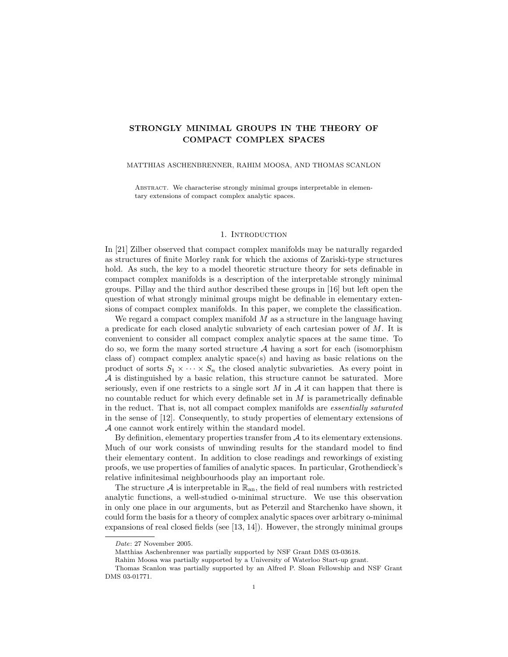# STRONGLY MINIMAL GROUPS IN THE THEORY OF COMPACT COMPLEX SPACES

## MATTHIAS ASCHENBRENNER, RAHIM MOOSA, AND THOMAS SCANLON

ABSTRACT. We characterise strongly minimal groups interpretable in elementary extensions of compact complex analytic spaces.

### 1. INTRODUCTION

In [21] Zilber observed that compact complex manifolds may be naturally regarded as structures of finite Morley rank for which the axioms of Zariski-type structures hold. As such, the key to a model theoretic structure theory for sets definable in compact complex manifolds is a description of the interpretable strongly minimal groups. Pillay and the third author described these groups in [16] but left open the question of what strongly minimal groups might be definable in elementary extensions of compact complex manifolds. In this paper, we complete the classification.

We regard a compact complex manifold  $M$  as a structure in the language having a predicate for each closed analytic subvariety of each cartesian power of M. It is convenient to consider all compact complex analytic spaces at the same time. To do so, we form the many sorted structure  $A$  having a sort for each (isomorphism class of) compact complex analytic space(s) and having as basic relations on the product of sorts  $S_1 \times \cdots \times S_n$  the closed analytic subvarieties. As every point in  $A$  is distinguished by a basic relation, this structure cannot be saturated. More seriously, even if one restricts to a single sort  $M$  in  $A$  it can happen that there is no countable reduct for which every definable set in  $M$  is parametrically definable in the reduct. That is, not all compact complex manifolds are essentially saturated in the sense of [12]. Consequently, to study properties of elementary extensions of A one cannot work entirely within the standard model.

By definition, elementary properties transfer from  $A$  to its elementary extensions. Much of our work consists of unwinding results for the standard model to find their elementary content. In addition to close readings and reworkings of existing proofs, we use properties of families of analytic spaces. In particular, Grothendieck's relative infinitesimal neighbourhoods play an important role.

The structure A is interpretable in  $\mathbb{R}_{an}$ , the field of real numbers with restricted analytic functions, a well-studied o-minimal structure. We use this observation in only one place in our arguments, but as Peterzil and Starchenko have shown, it could form the basis for a theory of complex analytic spaces over arbitrary o-minimal expansions of real closed fields (see [13, 14]). However, the strongly minimal groups

Date: 27 November 2005.

Matthias Aschenbrenner was partially supported by NSF Grant DMS 03-03618.

Rahim Moosa was partially supported by a University of Waterloo Start-up grant.

Thomas Scanlon was partially supported by an Alfred P. Sloan Fellowship and NSF Grant DMS 03-01771.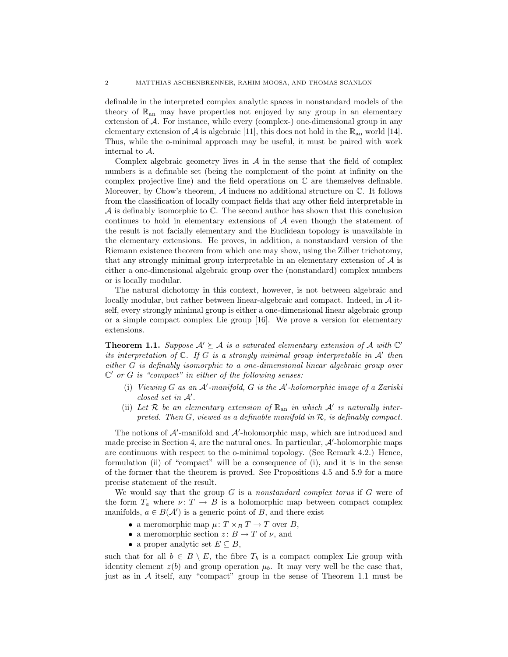definable in the interpreted complex analytic spaces in nonstandard models of the theory of  $\mathbb{R}_{an}$  may have properties not enjoyed by any group in an elementary extension of A. For instance, while every (complex-) one-dimensional group in any elementary extension of A is algebraic [11], this does not hold in the  $\mathbb{R}_{\text{an}}$  world [14]. Thus, while the o-minimal approach may be useful, it must be paired with work internal to A.

Complex algebraic geometry lives in  $\mathcal A$  in the sense that the field of complex numbers is a definable set (being the complement of the point at infinity on the complex projective line) and the field operations on  $\mathbb C$  are themselves definable. Moreover, by Chow's theorem,  $A$  induces no additional structure on  $\mathbb{C}$ . It follows from the classification of locally compact fields that any other field interpretable in  $\mathcal A$  is definably isomorphic to  $\mathbb C$ . The second author has shown that this conclusion continues to hold in elementary extensions of  $A$  even though the statement of the result is not facially elementary and the Euclidean topology is unavailable in the elementary extensions. He proves, in addition, a nonstandard version of the Riemann existence theorem from which one may show, using the Zilber trichotomy, that any strongly minimal group interpretable in an elementary extension of  $A$  is either a one-dimensional algebraic group over the (nonstandard) complex numbers or is locally modular.

The natural dichotomy in this context, however, is not between algebraic and locally modular, but rather between linear-algebraic and compact. Indeed, in  $A$  itself, every strongly minimal group is either a one-dimensional linear algebraic group or a simple compact complex Lie group [16]. We prove a version for elementary extensions.

**Theorem 1.1.** Suppose  $A' \succeq A$  is a saturated elementary extension of A with  $C'$ its interpretation of  $\mathbb C$ . If G is a strongly minimal group interpretable in A' then either G is definably isomorphic to a one-dimensional linear algebraic group over  $\mathbb{C}'$  or G is "compact" in either of the following senses:

- (i) Viewing  $G$  as an  $A'$ -manifold,  $G$  is the  $A'$ -holomorphic image of a Zariski  $closed$  set in  $A'$ .
- (ii) Let  $\mathcal R$  be an elementary extension of  $\mathbb R_{\rm an}$  in which  $\mathcal A'$  is naturally interpreted. Then  $G$ , viewed as a definable manifold in  $\mathcal{R}$ , is definably compact.

The notions of  $A'$ -manifold and  $A'$ -holomorphic map, which are introduced and made precise in Section 4, are the natural ones. In particular,  $\mathcal{A}'$ -holomorphic maps are continuous with respect to the o-minimal topology. (See Remark 4.2.) Hence, formulation (ii) of "compact" will be a consequence of (i), and it is in the sense of the former that the theorem is proved. See Propositions 4.5 and 5.9 for a more precise statement of the result.

We would say that the group  $G$  is a nonstandard complex torus if  $G$  were of the form  $T_a$  where  $\nu: T \to B$  is a holomorphic map between compact complex manifolds,  $a \in B(\mathcal{A}')$  is a generic point of B, and there exist

- a meromorphic map  $\mu: T \times_B T \to T$  over B,
- a meromorphic section  $z: B \to T$  of  $\nu$ , and
- a proper analytic set  $E \subseteq B$ ,

such that for all  $b \in B \setminus E$ , the fibre  $T_b$  is a compact complex Lie group with identity element  $z(b)$  and group operation  $\mu_b$ . It may very well be the case that, just as in  $\mathcal A$  itself, any "compact" group in the sense of Theorem 1.1 must be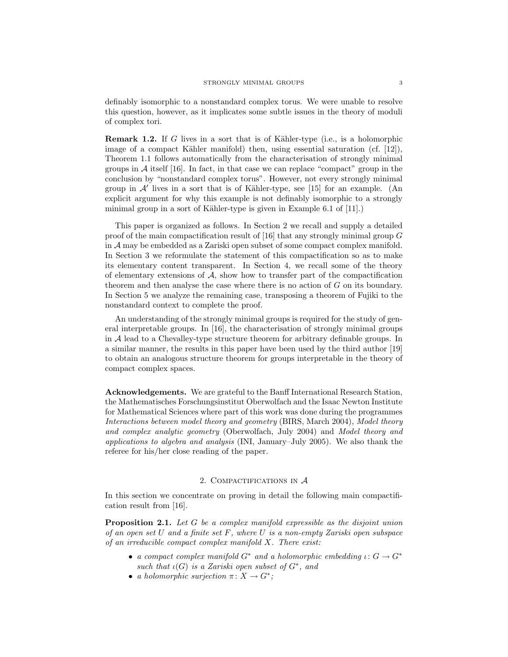definably isomorphic to a nonstandard complex torus. We were unable to resolve this question, however, as it implicates some subtle issues in the theory of moduli of complex tori.

**Remark 1.2.** If G lives in a sort that is of Kähler-type (i.e., is a holomorphic image of a compact Kähler manifold) then, using essential saturation (cf.  $[12]$ ), Theorem 1.1 follows automatically from the characterisation of strongly minimal groups in  $A$  itself [16]. In fact, in that case we can replace "compact" group in the conclusion by "nonstandard complex torus". However, not every strongly minimal group in  $\mathcal{A}'$  lives in a sort that is of Kähler-type, see [15] for an example. (An explicit argument for why this example is not definably isomorphic to a strongly minimal group in a sort of Kähler-type is given in Example 6.1 of  $[11]$ .)

This paper is organized as follows. In Section 2 we recall and supply a detailed proof of the main compactification result of [16] that any strongly minimal group  $G$ in A may be embedded as a Zariski open subset of some compact complex manifold. In Section 3 we reformulate the statement of this compactification so as to make its elementary content transparent. In Section 4, we recall some of the theory of elementary extensions of  $A$ , show how to transfer part of the compactification theorem and then analyse the case where there is no action of G on its boundary. In Section 5 we analyze the remaining case, transposing a theorem of Fujiki to the nonstandard context to complete the proof.

An understanding of the strongly minimal groups is required for the study of general interpretable groups. In [16], the characterisation of strongly minimal groups in A lead to a Chevalley-type structure theorem for arbitrary definable groups. In a similar manner, the results in this paper have been used by the third author [19] to obtain an analogous structure theorem for groups interpretable in the theory of compact complex spaces.

Acknowledgements. We are grateful to the Banff International Research Station, the Mathematisches Forschungsinstitut Oberwolfach and the Isaac Newton Institute for Mathematical Sciences where part of this work was done during the programmes Interactions between model theory and geometry (BIRS, March 2004), Model theory and complex analytic geometry (Oberwolfach, July 2004) and Model theory and applications to algebra and analysis (INI, January–July 2005). We also thank the referee for his/her close reading of the paper.

## 2. COMPACTIFICATIONS IN  $A$

In this section we concentrate on proving in detail the following main compactification result from [16].

**Proposition 2.1.** Let G be a complex manifold expressible as the disjoint union of an open set U and a finite set  $F$ , where U is a non-empty Zariski open subspace of an irreducible compact complex manifold  $X$ . There exist:

- a compact complex manifold  $G^*$  and a holomorphic embedding  $\iota: G \to G^*$ such that  $\iota(G)$  is a Zariski open subset of  $G^*$ , and
- a holomorphic surjection  $\pi \colon X \to G^*$ ;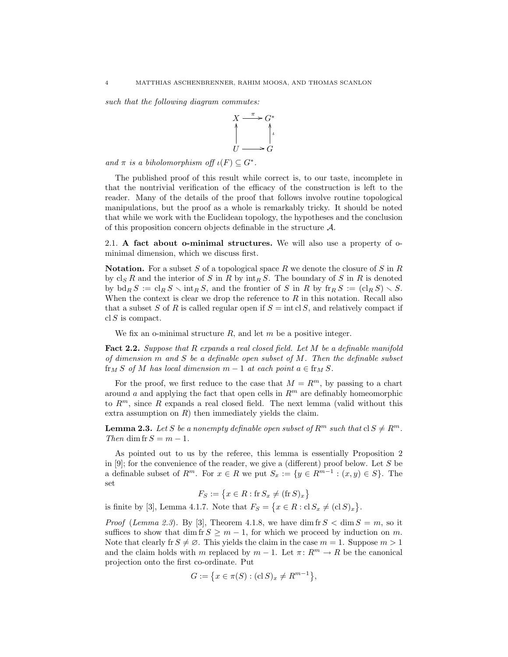such that the following diagram commutes:



and  $\pi$  is a biholomorphism of  $\iota(F) \subseteq G^*$ .

The published proof of this result while correct is, to our taste, incomplete in that the nontrivial verification of the efficacy of the construction is left to the reader. Many of the details of the proof that follows involve routine topological manipulations, but the proof as a whole is remarkably tricky. It should be noted that while we work with the Euclidean topology, the hypotheses and the conclusion of this proposition concern objects definable in the structure  $\mathcal{A}$ .

2.1. A fact about o-minimal structures. We will also use a property of ominimal dimension, which we discuss first.

**Notation.** For a subset S of a topological space R we denote the closure of S in R by  $\operatorname{cl}_S R$  and the interior of S in R by  $\operatorname{int}_R S$ . The boundary of S in R is denoted by  $\text{bd}_R S := \text{cl}_R S \setminus \text{int}_R S$ , and the frontier of S in R by  $\text{fr}_R S := (\text{cl}_R S) \setminus S$ . When the context is clear we drop the reference to  $R$  in this notation. Recall also that a subset S of R is called regular open if  $S = \text{int }$  cl S, and relatively compact if  $cl S$  is compact.

We fix an o-minimal structure  $R$ , and let  $m$  be a positive integer.

Fact 2.2. Suppose that R expands a real closed field. Let M be a definable manifold of dimension  $m$  and  $S$  be a definable open subset of  $M$ . Then the definable subset  $f{r_M} S$  of M has local dimension  $m-1$  at each point  $a \in f{r_M} S$ .

For the proof, we first reduce to the case that  $M = R^m$ , by passing to a chart around a and applying the fact that open cells in  $\mathbb{R}^m$  are definably homeomorphic to  $R^m$ , since R expands a real closed field. The next lemma (valid without this extra assumption on  $R$ ) then immediately yields the claim.

**Lemma 2.3.** Let S be a nonempty definable open subset of  $R^m$  such that  $cl S \neq R^m$ . Then dim fr  $S = m - 1$ .

As pointed out to us by the referee, this lemma is essentially Proposition 2 in [9]; for the convenience of the reader, we give a (different) proof below. Let  $S$  be a definable subset of  $R^m$ . For  $x \in R$  we put  $S_x := \{y \in R^{m-1} : (x, y) \in S\}$ . The set

 $F_S := \{ x \in R : \text{fr } S_x \neq (\text{fr } S)_x \}$ 

is finite by [3], Lemma 4.1.7. Note that  $F_S = \{x \in R : cl S_x \neq (cl S)_x\}.$ 

*Proof (Lemma 2.3).* By [3], Theorem 4.1.8, we have dim fr  $S < \dim S = m$ , so it suffices to show that dim fr  $S \geq m-1$ , for which we proceed by induction on m. Note that clearly fr  $S \neq \emptyset$ . This yields the claim in the case  $m = 1$ . Suppose  $m > 1$ and the claim holds with m replaced by  $m - 1$ . Let  $\pi \colon R^m \to R$  be the canonical projection onto the first co-ordinate. Put

$$
G := \{ x \in \pi(S) : (\text{cl } S)_x \neq R^{m-1} \},
$$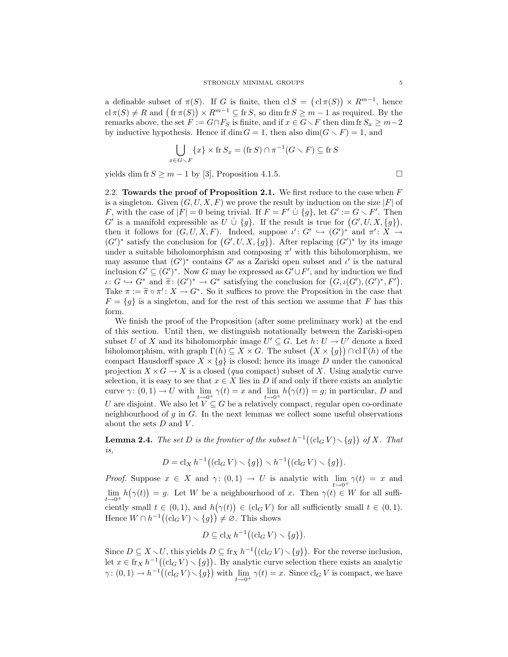a definable subset of  $\pi(S)$ . If G is finite, then  $\text{cl } S = (\text{cl }\pi(S)) \times R^{m-1}$ , hence  $\operatorname{cl} \pi(S) \neq R$  and  $(\operatorname{fr} \pi(S)) \times R^{m-1} \subseteq \operatorname{fr} S$ , so dim  $\operatorname{fr} S \geq m-1$  as required. By the remarks above, the set  $F := G \cap F_S$  is finite, and if  $x \in G \setminus F$  then dim fr  $S_x \geq m-2$ by inductive hypothesis. Hence if dim  $G = 1$ , then also dim $(G \setminus F) = 1$ , and

$$
\bigcup_{x \in G \setminus F} \{x\} \times \text{fr } S_x = (\text{fr } S) \cap \pi^{-1}(G \setminus F) \subseteq \text{fr } S
$$

yields dim fr  $S \geq m - 1$  by [3], Proposition 4.1.5.

2.2. Towards the proof of Proposition 2.1. We first reduce to the case when  $F$ is a singleton. Given  $(G, U, X, F)$  we prove the result by induction on the size  $|F|$  of F, with the case of  $|F| = 0$  being trivial. If  $F = F' \cup \{g\}$ , let  $G' := G \setminus F'$ . Then  $G'$  is a manifold expressible as  $\tilde{U} \cup \{g\}$ . If the result is true for  $(G', U, X, \{g\})$ , then it follows for  $(G, U, X, F)$ . Indeed, suppose  $\iota' : G' \hookrightarrow (G')^*$  and  $\pi' : X \to$  $(G')^*$  satisfy the conclusion for  $(G', U, X, \{g\})$ . After replacing  $(G')^*$  by its image under a suitable biholomorphism and composing  $\pi'$  with this biholomorphism, we may assume that  $(G')^*$  contains G' as a Zariski open subset and  $\iota'$  is the natural inclusion  $G' \subseteq (G')^*$ . Now G may be expressed as  $G' \cup F'$ , and by induction we find  $\iota: G \hookrightarrow G^*$  and  $\widetilde{\pi}: (G')^* \to G^*$  satisfying the conclusion for  $(G, \iota(G'), (G')^*, F')$ .<br>Take  $\pi: -\widetilde{\pi} \circ \pi': X \to G^*$  So it suffices to prove the Proposition in the case that Take  $\pi := \widetilde{\pi} \circ \pi' : X \to G^*$ . So it suffices to prove the Proposition in the case that  $F = \{g \}$  is a singleton and for the rest of this section we assume that F has this  $F = \{g\}$  is a singleton, and for the rest of this section we assume that F has this form.

We finish the proof of the Proposition (after some preliminary work) at the end of this section. Until then, we distinguish notationally between the Zariski-open subset U of X and its biholomorphic image  $U' \subseteq G$ . Let  $h: U \to U'$  denote a fixed biholomorphism, with graph  $\Gamma(h) \subseteq X \times G$ . The subset  $(X \times \{g\}) \cap \text{cl}\,\Gamma(h)$  of the compact Hausdorff space  $X \times \{g\}$  is closed; hence its image D under the canonical projection  $X \times G \to X$  is a closed (qua compact) subset of X. Using analytic curve selection, it is easy to see that  $x \in X$  lies in D if and only if there exists an analytic curve  $\gamma: (0,1) \to U$  with  $\lim_{t \to 0^+} \gamma(t) = x$  and  $\lim_{t \to 0^+} h(\gamma(t)) = g$ ; in particular, D and U are disjoint. We also let  $V \subseteq G$  be a relatively compact, regular open co-ordinate neighbourhood of  $g$  in  $G$ . In the next lemmas we collect some useful observations about the sets  $D$  and  $V$ .

**Lemma 2.4.** The set D is the frontier of the subset  $h^{-1}((\text{cl}_G V) \setminus \{g\})$  of X. That is,

$$
D = \mathrm{cl}_X h^{-1}((\mathrm{cl}_G V) \setminus \{g\}) \setminus h^{-1}((\mathrm{cl}_G V) \setminus \{g\}).
$$

*Proof.* Suppose  $x \in X$  and  $\gamma: (0,1) \to U$  is analytic with  $\lim_{t \to 0^+} \gamma(t) = x$  and  $\lim_{t\to 0^+} h(\gamma(t)) = g$ . Let W be a neighbourhood of x. Then  $\gamma(t) \in W$  for all sufficiently small  $t \in (0,1)$ , and  $h(\gamma(t)) \in (cl_G V)$  for all sufficiently small  $t \in (0,1)$ . Hence  $W \cap h^{-1}((\mathrm{cl}_G V) \setminus \{g\}) \neq \emptyset$ . This shows

$$
D \subseteq \operatorname{cl}_X h^{-1}((\operatorname{cl}_G V) \setminus \{g\}).
$$

Since  $D \subseteq X \setminus U$ , this yields  $D \subseteq \operatorname{fr}_X h^{-1}((\operatorname{cl}_G V) \setminus \{g\})$ . For the reverse inclusion, let  $x \in \text{fr}_{X} h^{-1}((\text{cl}_{G} V) \setminus \{g\})$ . By analytic curve selection there exists an analytic  $\gamma: (0,1) \to h^{-1}((\text{cl}_G V) \setminus \{g\})$  with  $\lim_{t \to 0^+} \gamma(t) = x$ . Since  $\text{cl}_G V$  is compact, we have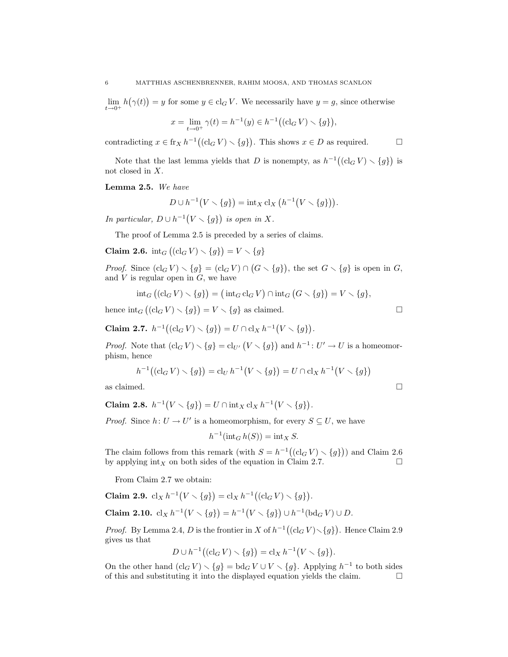$\lim_{t\to 0^+} h(\gamma(t)) = y$  for some  $y \in \text{cl}_G V$ . We necessarily have  $y = g$ , since otherwise

$$
x = \lim_{t \to 0^+} \gamma(t) = h^{-1}(y) \in h^{-1}((\mathrm{cl}_G V) \setminus \{g\}),
$$

contradicting  $x \in \text{fr}_X h^{-1}((\text{cl}_G V) \setminus \{g\})$ . This shows  $x \in D$  as required.

Note that the last lemma yields that D is nonempty, as  $h^{-1}((\text{cl}_G V) \setminus \{g\})$  is not closed in X.

Lemma 2.5. We have

$$
D \cup h^{-1}(V \setminus \{g\}) = \operatorname{int}_X \operatorname{cl}_X \left( h^{-1}(V \setminus \{g\}) \right).
$$

In particular,  $D \cup h^{-1}(V \setminus \{g\})$  is open in X.

The proof of Lemma 2.5 is preceded by a series of claims.

**Claim 2.6.**  $\text{int}_G ((\text{cl}_G V) \setminus \{g\}) = V \setminus \{g\}$ 

*Proof.* Since  $(cl_G V) \setminus \{g\} = (cl_G V) \cap (G \setminus \{g\})$ , the set  $G \setminus \{g\}$  is open in G, and  $V$  is regular open in  $G$ , we have

$$
int_G ((cl_G V) \setminus \{g\}) = (int_G cl_G V) \cap int_G (G \setminus \{g\}) = V \setminus \{g\},
$$

hence  $\text{int}_G \left( (\text{cl}_G V) \setminus \{g\} \right) = V \setminus \{g\}$  as claimed.

Claim 2.7.  $h^{-1}((\text{cl}_G V) \setminus \{g\}) = U \cap \text{cl}_X h^{-1}(V \setminus \{g\}).$ 

*Proof.* Note that  $(cl_G V) \setminus \{g\} = cl_{U'}(V \setminus \{g\})$  and  $h^{-1}: U' \to U$  is a homeomorphism, hence

$$
h^{-1}((\text{cl}_G V) \setminus \{g\}) = \text{cl}_U h^{-1}(V \setminus \{g\}) = U \cap \text{cl}_X h^{-1}(V \setminus \{g\})
$$
as claimed.

Claim 2.8.  $h^{-1}(V \setminus \{g\}) = U \cap \text{int}_X cl_X h^{-1}(V \setminus \{g\}).$ 

*Proof.* Since  $h: U \to U'$  is a homeomorphism, for every  $S \subseteq U$ , we have

$$
h^{-1}(\text{int}_G h(S)) = \text{int}_X S.
$$

The claim follows from this remark (with  $S = h^{-1}((\text{cl}_G V) \setminus \{g\})$ ) and Claim 2.6 by applying  $\text{int}_X$  on both sides of the equation in Claim 2.7.

From Claim 2.7 we obtain:

**Claim 2.9.** 
$$
cl_X h^{-1}(V \setminus \{g\}) = cl_X h^{-1}((cl_G V) \setminus \{g\}).
$$
  
**Claim 2.10.**  $cl_X h^{-1}(V \setminus \{g\}) = h^{-1}(V \setminus \{g\}) \cup h^{-1}(bd_G V) \cup D.$ 

*Proof.* By Lemma 2.4, D is the frontier in X of  $h^{-1}((\text{cl}_G V) \setminus \{g\})$ . Hence Claim 2.9 gives us that

$$
D \cup h^{-1}((\mathrm{cl}_G V) \setminus \{g\}) = \mathrm{cl}_X h^{-1}(V \setminus \{g\}).
$$

On the other hand  $(cl_G V) \setminus \{g\} = bd_G V \cup V \setminus \{g\}$ . Applying  $h^{-1}$  to both sides of this and substituting it into the displayed equation yields the claim.  $\Box$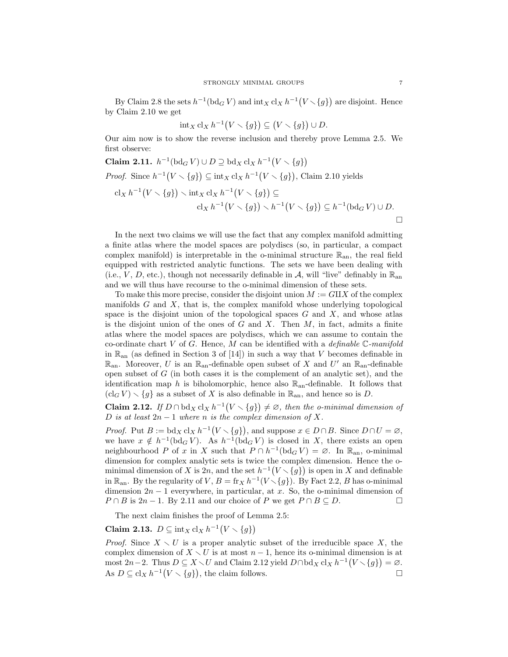By Claim 2.8 the sets  $h^{-1}(\text{bd}_G V)$  and  $\text{int}_X \text{cl}_X h^{-1}(V \setminus \{g\})$  are disjoint. Hence by Claim 2.10 we get

$$
\mathrm{int}_X \mathrm{cl}_X h^{-1}(V \setminus \{g\}) \subseteq (V \setminus \{g\}) \cup D.
$$

Our aim now is to show the reverse inclusion and thereby prove Lemma 2.5. We first observe:

**Claim 2.11.** 
$$
h^{-1}(\text{bd}_G V) \cup D \supseteq \text{bd}_X \text{cl}_X h^{-1}(V \setminus \{g\})
$$
  
\n*Proof.* Since  $h^{-1}(V \setminus \{g\}) \subseteq \text{int}_X \text{cl}_X h^{-1}(V \setminus \{g\})$ , Claim 2.10 yields  
\n $\text{cl}_X h^{-1}(V \setminus \{g\}) \setminus \text{int}_X \text{cl}_X h^{-1}(V \setminus \{g\}) \subseteq$   
\n $\text{cl}_X h^{-1}(V \setminus \{g\}) \setminus h^{-1}(V \setminus \{g\}) \subseteq h^{-1}(\text{bd}_G V) \cup D.$ 

In the next two claims we will use the fact that any complex manifold admitting a finite atlas where the model spaces are polydiscs (so, in particular, a compact complex manifold) is interpretable in the o-minimal structure  $\mathbb{R}_{an}$ , the real field equipped with restricted analytic functions. The sets we have been dealing with (i.e., V, D, etc.), though not necessarily definable in A, will "live" definably in  $\mathbb{R}_{\text{an}}$ and we will thus have recourse to the o-minimal dimension of these sets.

To make this more precise, consider the disjoint union  $M := G\amalg X$  of the complex manifolds  $G$  and  $X$ , that is, the complex manifold whose underlying topological space is the disjoint union of the topological spaces  $G$  and  $X$ , and whose atlas is the disjoint union of the ones of  $G$  and  $X$ . Then  $M$ , in fact, admits a finite atlas where the model spaces are polydiscs, which we can assume to contain the co-ordinate chart V of G. Hence, M can be identified with a definable  $\mathbb{C}\text{-}manifold$ in  $\mathbb{R}_{\text{an}}$  (as defined in Section 3 of [14]) in such a way that V becomes definable in  $\mathbb{R}_{\text{an}}$ . Moreover, U is an  $\mathbb{R}_{\text{an}}$ -definable open subset of X and U' an  $\mathbb{R}_{\text{an}}$ -definable open subset of  $G$  (in both cases it is the complement of an analytic set), and the identification map h is biholomorphic, hence also  $\mathbb{R}_{an}$ -definable. It follows that  $(cl_G V) \setminus \{g\}$  as a subset of X is also definable in  $\mathbb{R}_{\text{an}}$ , and hence so is D.

**Claim 2.12.** If  $D \cap bd_X cl_X h^{-1}(V \setminus \{g\}) \neq \emptyset$ , then the o-minimal dimension of D is at least  $2n-1$  where n is the complex dimension of X.

*Proof.* Put  $B := bd_X cl_X h^{-1}(V \setminus \{g\})$ , and suppose  $x \in D \cap B$ . Since  $D \cap U = \emptyset$ , we have  $x \notin h^{-1}(\text{bd}_G V)$ . As  $h^{-1}(\text{bd}_G V)$  is closed in X, there exists an open neighbourhood P of x in X such that  $P \cap h^{-1}(\text{bd}_G V) = \emptyset$ . In  $\mathbb{R}_{\text{an}}$ , o-minimal dimension for complex analytic sets is twice the complex dimension. Hence the ominimal dimension of X is  $2n$ , and the set  $h^{-1}(V \setminus {\overline{g}})$  is open in X and definable in  $\mathbb{R}_{\text{an}}$ . By the regularity of  $V, B = \text{fr}_{X} h^{-1}(V \setminus \{g\})$ . By Fact 2.2, B has o-minimal dimension  $2n - 1$  everywhere, in particular, at x. So, the o-minimal dimension of  $P \cap B$  is  $2n-1$ . By 2.11 and our choice of P we get  $P \cap B \subseteq D$ .

The next claim finishes the proof of Lemma 2.5:

Claim 2.13.  $D \subseteq \text{int}_X cl_X h^{-1}(V \setminus \{g\})$ 

*Proof.* Since  $X \setminus U$  is a proper analytic subset of the irreducible space X, the complex dimension of  $X \setminus U$  is at most  $n-1$ , hence its o-minimal dimension is at most 2n – 2. Thus  $D \subseteq X \setminus U$  and Claim 2.12 yield  $D \cap \text{bd}_X \text{cl}_X h^{-1}(V \setminus \{g\}) = \varnothing$ . As  $D \subseteq cl_X h^{-1}(V \setminus \{g\})$ , the claim follows.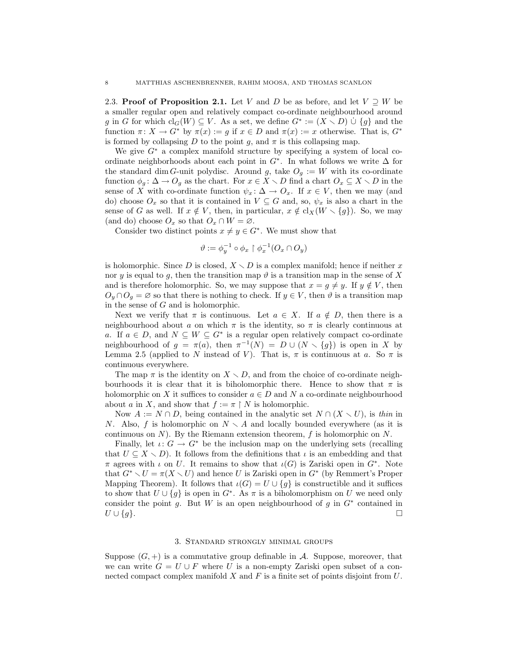2.3. Proof of Proposition 2.1. Let V and D be as before, and let  $V \supset W$  be a smaller regular open and relatively compact co-ordinate neighbourhood around g in G for which  $\text{cl}_G(W) \subseteq V$ . As a set, we define  $G^* := (X \setminus D) \cup \{g\}$  and the function  $\pi: X \to G^*$  by  $\pi(x) := g$  if  $x \in D$  and  $\pi(x) := x$  otherwise. That is,  $G^*$ is formed by collapsing D to the point g, and  $\pi$  is this collapsing map.

We give  $G^*$  a complex manifold structure by specifying a system of local coordinate neighborhoods about each point in  $G^*$ . In what follows we write  $\Delta$  for the standard dim G-unit polydisc. Around g, take  $O<sub>g</sub> := W$  with its co-ordinate function  $\phi_g: \Delta \to O_g$  as the chart. For  $x \in X \setminus D$  find a chart  $O_x \subseteq X \setminus D$  in the sense of X with co-ordinate function  $\psi_x \colon \Delta \to O_x$ . If  $x \in V$ , then we may (and do) choose  $O_x$  so that it is contained in  $V \subseteq G$  and, so,  $\psi_x$  is also a chart in the sense of G as well. If  $x \notin V$ , then, in particular,  $x \notin cl_X(W \setminus \{g\})$ . So, we may (and do) choose  $O_x$  so that  $O_x \cap W = \emptyset$ .

Consider two distinct points  $x \neq y \in G^*$ . We must show that

$$
\vartheta:=\phi_y^{-1}\circ\phi_x\restriction\phi_x^{-1}(O_x\cap O_y)
$$

is holomorphic. Since D is closed,  $X \setminus D$  is a complex manifold; hence if neither x nor y is equal to q, then the transition map  $\vartheta$  is a transition map in the sense of X and is therefore holomorphic. So, we may suppose that  $x = g \neq y$ . If  $y \notin V$ , then  $O_y \cap O_q = \emptyset$  so that there is nothing to check. If  $y \in V$ , then  $\vartheta$  is a transition map in the sense of  $G$  and is holomorphic.

Next we verify that  $\pi$  is continuous. Let  $a \in X$ . If  $a \notin D$ , then there is a neighbourhood about a on which  $\pi$  is the identity, so  $\pi$  is clearly continuous at a. If  $a \in D$ , and  $N \subseteq W \subseteq G^*$  is a regular open relatively compact co-ordinate neighbourhood of  $g = \pi(a)$ , then  $\pi^{-1}(N) = D \cup (N \setminus \{g\})$  is open in X by Lemma 2.5 (applied to N instead of V). That is,  $\pi$  is continuous at a. So  $\pi$  is continuous everywhere.

The map  $\pi$  is the identity on  $X \setminus D$ , and from the choice of co-ordinate neighbourhoods it is clear that it is biholomorphic there. Hence to show that  $\pi$  is holomorphic on X it suffices to consider  $a \in D$  and N a co-ordinate neighbourhood about a in X, and show that  $f := \pi \restriction N$  is holomorphic.

Now  $A := N \cap D$ , being contained in the analytic set  $N \cap (X \setminus U)$ , is thin in N. Also, f is holomorphic on  $N \setminus A$  and locally bounded everywhere (as it is continuous on  $N$ ). By the Riemann extension theorem,  $f$  is holomorphic on  $N$ .

Finally, let  $\iota: G \to G^*$  be the inclusion map on the underlying sets (recalling that  $U \subseteq X \setminus D$ . It follows from the definitions that  $\iota$  is an embedding and that  $\pi$  agrees with  $\iota$  on U. It remains to show that  $\iota(G)$  is Zariski open in  $G^*$ . Note that  $G^* \setminus U = \pi(X \setminus U)$  and hence U is Zariski open in  $G^*$  (by Remmert's Proper Mapping Theorem). It follows that  $\iota(G) = U \cup \{g\}$  is constructible and it suffices to show that  $U \cup \{g\}$  is open in  $G^*$ . As  $\pi$  is a biholomorphism on U we need only consider the point g. But W is an open neighbourhood of g in  $G^*$  contained in  $U \cup \{g\}.$ 

## 3. Standard strongly minimal groups

Suppose  $(G, +)$  is a commutative group definable in A. Suppose, moreover, that we can write  $G = U \cup F$  where U is a non-empty Zariski open subset of a connected compact complex manifold  $X$  and  $F$  is a finite set of points disjoint from  $U$ .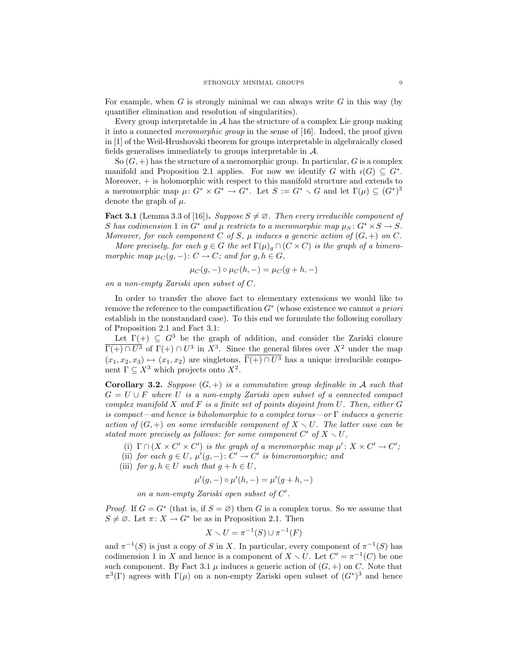For example, when G is strongly minimal we can always write G in this way (by quantifier elimination and resolution of singularities).

Every group interpretable in  $A$  has the structure of a complex Lie group making it into a connected meromorphic group in the sense of [16]. Indeed, the proof given in [1] of the Weil-Hrushovski theorem for groups interpretable in algebraically closed fields generalises immediately to groups interpretable in A.

So  $(G,+)$  has the structure of a meromorphic group. In particular, G is a complex manifold and Proposition 2.1 applies. For now we identify G with  $\iota(G) \subseteq G^*$ . Moreover, + is holomorphic with respect to this manifold structure and extends to a meromorphic map  $\mu: G^* \times G^* \to G^*$ . Let  $S := G^* \setminus G$  and let  $\Gamma(\mu) \subseteq (G^*)^3$ denote the graph of  $\mu$ .

**Fact 3.1** (Lemma 3.3 of [16]). Suppose  $S \neq \emptyset$ . Then every irreducible component of S has codimension 1 in  $G^*$  and  $\mu$  restricts to a meromorphic map  $\mu_S \colon G^* \times S \to S$ . Moreover, for each component C of S,  $\mu$  induces a generic action of  $(G, +)$  on C.

More precisely, for each  $g \in G$  the set  $\Gamma(\mu)_{g} \cap (C \times C)$  is the graph of a bimeromorphic map  $\mu_C(g, -): C \to C$ ; and for  $g, h \in G$ ,

$$
\mu_C(g, -) \circ \mu_C(h, -) = \mu_C(g + h, -)
$$

on a non-empty Zariski open subset of C.

In order to transfer the above fact to elementary extensions we would like to remove the reference to the compactification  $G^*$  (whose existence we cannot a priori establish in the nonstandard case). To this end we formulate the following corollary of Proposition 2.1 and Fact 3.1:

Let  $\Gamma(+) \subseteq G^3$  be the graph of addition, and consider the Zariski closure  $\Gamma(+) \cap U^3$  of  $\Gamma(+) \cap U^3$  in  $X^3$ . Since the general fibres over  $X^2$  under the map  $(x_1, x_2, x_3) \mapsto (x_1, x_2)$  are singletons,  $\overline{\Gamma(+) \cap U^3}$  has a unique irreducible component  $\Gamma \subseteq X^3$  which projects onto  $X^2$ .

**Corollary 3.2.** Suppose  $(G, +)$  is a commutative group definable in A such that  $G = U \cup F$  where U is a non-empty Zariski open subset of a connected compact complex manifold  $X$  and  $F$  is a finite set of points disjoint from  $U$ . Then, either  $G$ is compact—and hence is biholomorphic to a complex torus—or  $\Gamma$  induces a generic action of  $(G, +)$  on some irreducible component of  $X \setminus U$ . The latter case can be stated more precisely as follows: for some component  $C'$  of  $X \setminus U$ ,

(i)  $\Gamma \cap (X \times C' \times C')$  is the graph of a meromorphic map  $\mu' : X \times C' \to C'$ ;

- (ii) for each  $g \in U$ ,  $\mu'(g,-): C' \to C'$  is bimeromorphic; and
- (iii) for  $g, h \in U$  such that  $g + h \in U$ ,

$$
\mu'(g, -) \circ \mu'(h, -) = \mu'(g + h, -)
$$

on a non-empty Zariski open subset of  $C'$ .

*Proof.* If  $G = G^*$  (that is, if  $S = \emptyset$ ) then G is a complex torus. So we assume that  $S \neq \emptyset$ . Let  $\pi: X \to G^*$  be as in Proposition 2.1. Then

$$
X \setminus U = \pi^{-1}(S) \cup \pi^{-1}(F)
$$

and  $\pi^{-1}(S)$  is just a copy of S in X. In particular, every component of  $\pi^{-1}(S)$  has codimension 1 in X and hence is a component of  $X \setminus U$ . Let  $C' = \pi^{-1}(C)$  be one such component. By Fact 3.1  $\mu$  induces a generic action of  $(G, +)$  on C. Note that  $\pi^3(\Gamma)$  agrees with  $\Gamma(\mu)$  on a non-empty Zariski open subset of  $(G^*)^3$  and hence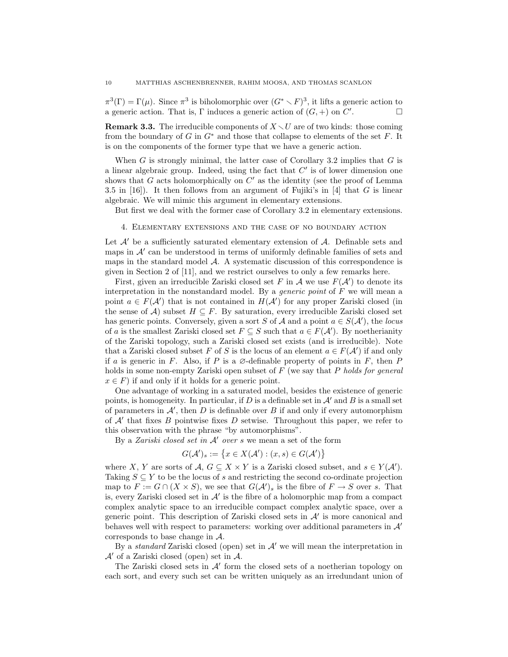$\pi^3(\Gamma) = \Gamma(\mu)$ . Since  $\pi^3$  is biholomorphic over  $(G^* \setminus F)^3$ , it lifts a generic action to a generic action. That is, Γ induces a generic action of  $(G,+)$  on  $\check{C}'$ . — П

**Remark 3.3.** The irreducible components of  $X \setminus U$  are of two kinds: those coming from the boundary of G in  $G^*$  and those that collapse to elements of the set F. It is on the components of the former type that we have a generic action.

When  $G$  is strongly minimal, the latter case of Corollary 3.2 implies that  $G$  is a linear algebraic group. Indeed, using the fact that  $C'$  is of lower dimension one shows that G acts holomorphically on  $C'$  as the identity (see the proof of Lemma 3.5 in  $[16]$ . It then follows from an argument of Fujiki's in  $[4]$  that G is linear algebraic. We will mimic this argument in elementary extensions.

But first we deal with the former case of Corollary 3.2 in elementary extensions.

### 4. Elementary extensions and the case of no boundary action

Let  $\mathcal{A}'$  be a sufficiently saturated elementary extension of  $\mathcal{A}$ . Definable sets and maps in  $A'$  can be understood in terms of uniformly definable families of sets and maps in the standard model  $\mathcal{A}$ . A systematic discussion of this correspondence is given in Section 2 of [11], and we restrict ourselves to only a few remarks here.

First, given an irreducible Zariski closed set F in A we use  $F(\mathcal{A}')$  to denote its interpretation in the nonstandard model. By a *generic point* of  $F$  we will mean a point  $a \in F(\mathcal{A}')$  that is not contained in  $H(\mathcal{A}')$  for any proper Zariski closed (in the sense of A) subset  $H \subseteq F$ . By saturation, every irreducible Zariski closed set has generic points. Conversely, given a sort S of A and a point  $a \in S(\mathcal{A}')$ , the locus of a is the smallest Zariski closed set  $F \subseteq S$  such that  $a \in F(\mathcal{A}')$ . By noetherianity of the Zariski topology, such a Zariski closed set exists (and is irreducible). Note that a Zariski closed subset F of S is the locus of an element  $a \in F(\mathcal{A}')$  if and only if a is generic in F. Also, if P is a  $\emptyset$ -definable property of points in F, then P holds in some non-empty Zariski open subset of  $F$  (we say that P holds for general  $x \in F$ ) if and only if it holds for a generic point.

One advantage of working in a saturated model, besides the existence of generic points, is homogeneity. In particular, if D is a definable set in  $\mathcal{A}'$  and B is a small set of parameters in  $\mathcal{A}'$ , then D is definable over B if and only if every automorphism of  $A'$  that fixes B pointwise fixes D setwise. Throughout this paper, we refer to this observation with the phrase "by automorphisms".

By a Zariski closed set in  $A'$  over s we mean a set of the form

$$
G(\mathcal{A}')_s := \{ x \in X(\mathcal{A}') : (x, s) \in G(\mathcal{A}') \}
$$

where X, Y are sorts of  $A, G \subseteq X \times Y$  is a Zariski closed subset, and  $s \in Y(A')$ . Taking  $S \subseteq Y$  to be the locus of s and restricting the second co-ordinate projection map to  $F := G \cap (X \times S)$ , we see that  $G(\mathcal{A}')_s$  is the fibre of  $F \to S$  over s. That is, every Zariski closed set in  $\mathcal{A}'$  is the fibre of a holomorphic map from a compact complex analytic space to an irreducible compact complex analytic space, over a generic point. This description of Zariski closed sets in  $A'$  is more canonical and behaves well with respect to parameters: working over additional parameters in  $\mathcal{A}'$ corresponds to base change in A.

By a *standard* Zariski closed (open) set in  $A'$  we will mean the interpretation in  $\mathcal{A}'$  of a Zariski closed (open) set in  $\mathcal{A}$ .

The Zariski closed sets in  $A'$  form the closed sets of a noetherian topology on each sort, and every such set can be written uniquely as an irredundant union of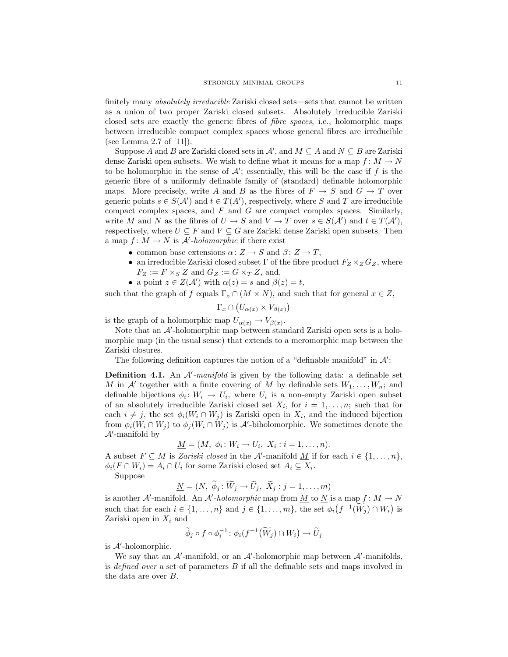finitely many *absolutely irreducible* Zariski closed sets—sets that cannot be written as a union of two proper Zariski closed subsets. Absolutely irreducible Zariski closed sets are exactly the generic fibres of fibre spaces, i.e., holomorphic maps between irreducible compact complex spaces whose general fibres are irreducible (see Lemma 2.7 of [11]).

Suppose A and  $B$  are Zariski closed sets in  $\mathcal{A}'$ , and  $M \subseteq A$  and  $N \subseteq B$  are Zariski dense Zariski open subsets. We wish to define what it means for a map  $f: M \to N$ to be holomorphic in the sense of  $\mathcal{A}'$ ; essentially, this will be the case if f is the generic fibre of a uniformly definable family of (standard) definable holomorphic maps. More precisely, write A and B as the fibres of  $F \to S$  and  $G \to T$  over generic points  $s \in S(A')$  and  $t \in T(A')$ , respectively, where S and T are irreducible compact complex spaces, and  $F$  and  $G$  are compact complex spaces. Similarly, write M and N as the fibres of  $U \to S$  and  $V \to T$  over  $s \in S(\mathcal{A}')$  and  $t \in T(\mathcal{A}'),$ respectively, where  $U \subseteq F$  and  $V \subseteq G$  are Zariski dense Zariski open subsets. Then a map  $f: M \to N$  is A'-holomorphic if there exist

- common base extensions  $\alpha: Z \to S$  and  $\beta: Z \to T$ ,
- an irreducible Zariski closed subset  $\Gamma$  of the fibre product  $F_Z \times_Z G_Z$ , where  $F_Z := F \times_S Z$  and  $G_Z := G \times_T Z$ , and,
- a point  $z \in Z(\mathcal{A}')$  with  $\alpha(z) = s$  and  $\beta(z) = t$ ,

such that the graph of f equals  $\Gamma_z \cap (M \times N)$ , and such that for general  $x \in Z$ ,

$$
\Gamma_x \cap (U_{\alpha(x)} \times V_{\beta(x)})
$$

is the graph of a holomorphic map  $U_{\alpha(x)} \to V_{\beta(x)}$ .

Note that an  $\mathcal{A}'$ -holomorphic map between standard Zariski open sets is a holomorphic map (in the usual sense) that extends to a meromorphic map between the Zariski closures.

The following definition captures the notion of a "definable manifold" in  $\mathcal{A}'$ :

**Definition 4.1.** An  $A'$ -manifold is given by the following data: a definable set M in A' together with a finite covering of M by definable sets  $W_1, \ldots, W_n$ ; and definable bijections  $\phi_i: W_i \to U_i$ , where  $U_i$  is a non-empty Zariski open subset of an absolutely irreducible Zariski closed set  $X_i$ , for  $i = 1, \ldots, n$ ; such that for each  $i \neq j$ , the set  $\phi_i(W_i \cap W_j)$  is Zariski open in  $X_i$ , and the induced bijection from  $\phi_i(W_i \cap W_j)$  to  $\phi_j(W_i \cap W_j)$  is A'-biholomorphic. We sometimes denote the  $\mathcal{A}'$ -manifold by

$$
\underline{M}=(M, \phi_i \colon W_i \to U_i, \ X_i : i=1,\ldots,n).
$$

A subset  $F \subseteq M$  is Zariski closed in the A'-manifold  $\underline{M}$  if for each  $i \in \{1, \ldots, n\}$ ,  $\phi_i(F \cap W_i) = A_i \cap U_i$  for some Zariski closed set  $A_i \subseteq X_i$ .

Suppose

 $N = (N, \widetilde{\phi}_j : \widetilde{W}_j \rightarrow \widetilde{U}_j, \widetilde{X}_j : j = 1, \ldots, m)$ 

is another A'-manifold. An A'-holomorphic map from <u>M</u> to <u>N</u> is a map  $f: M \to N$ such that for each  $i \in \{1, ..., n\}$  and  $j \in \{1, ..., m\}$ , the set  $\phi_i(f^{-1}(\widetilde{W}_j) \cap W_i)$  is Zariski open in  $X_i$  and

$$
\widetilde{\phi}_j \circ f \circ \phi_i^{-1} \colon \phi_i(f^{-1}(\widetilde{W}_j) \cap W_i) \to \widetilde{U}_j
$$

is  $A'$ -holomorphic.

We say that an  $A'$ -manifold, or an  $A'$ -holomorphic map between  $A'$ -manifolds, is defined over a set of parameters B if all the definable sets and maps involved in the data are over B.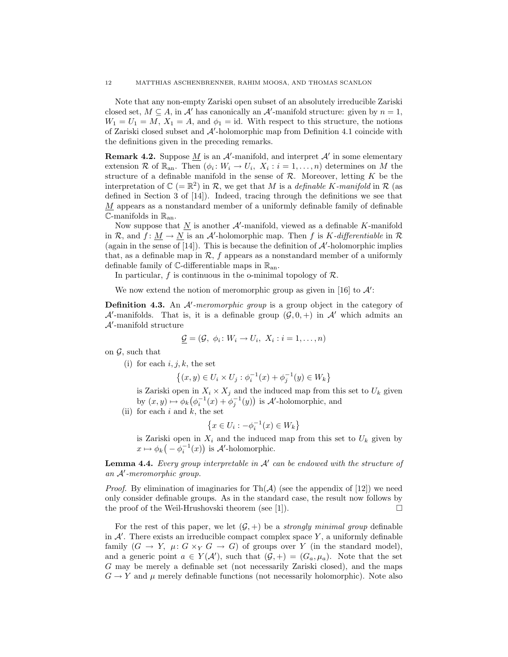Note that any non-empty Zariski open subset of an absolutely irreducible Zariski closed set,  $M \subseteq A$ , in  $A'$  has canonically an  $A'$ -manifold structure: given by  $n = 1$ ,  $W_1 = U_1 = M$ ,  $X_1 = A$ , and  $\phi_1 = id$ . With respect to this structure, the notions of Zariski closed subset and  $A'$ -holomorphic map from Definition 4.1 coincide with the definitions given in the preceding remarks.

**Remark 4.2.** Suppose  $\underline{M}$  is an  $\mathcal{A}'$ -manifold, and interpret  $\mathcal{A}'$  in some elementary extension R of  $\mathbb{R}_{an}$ . Then  $(\phi_i: W_i \to U_i, X_i : i = 1, ..., n)$  determines on M the structure of a definable manifold in the sense of  $\mathcal R$ . Moreover, letting  $K$  be the interpretation of  $\mathbb{C}$  (=  $\mathbb{R}^2$ ) in R, we get that M is a *definable K-manifold* in R (as defined in Section 3 of [14]). Indeed, tracing through the definitions we see that  $M$  appears as a nonstandard member of a uniformly definable family of definable  $\mathbb{C}$ -manifolds in  $\mathbb{R}_{an}$ .

Now suppose that  $\underline{N}$  is another  $A'$ -manifold, viewed as a definable K-manifold in R, and  $\hat{f} : \underline{M} \to \underline{N}$  is an A'-holomorphic map. Then f is K-differentiable in R (again in the sense of [14]). This is because the definition of  $A'$ -holomorphic implies that, as a definable map in  $\mathcal{R}$ ,  $f$  appears as a nonstandard member of a uniformly definable family of  $\mathbb{C}$ -differentiable maps in  $\mathbb{R}_{an}$ .

In particular, f is continuous in the o-minimal topology of  $\mathcal{R}$ .

We now extend the notion of meromorphic group as given in [16] to  $\mathcal{A}'$ :

**Definition 4.3.** An  $A'$ -meromorphic group is a group object in the category of A'-manifolds. That is, it is a definable group  $(\mathcal{G}, 0, +)$  in A' which admits an  $\mathcal{A}'$ -manifold structure

$$
\underline{\mathcal{G}} = (\mathcal{G}, \phi_i \colon W_i \to U_i, \ X_i : i = 1, \dots, n)
$$

on  $\mathcal{G}$ , such that

(i) for each  $i, j, k$ , the set

$$
\{(x,y) \in U_i \times U_j : \phi_i^{-1}(x) + \phi_j^{-1}(y) \in W_k\}
$$

is Zariski open in  $X_i \times X_j$  and the induced map from this set to  $U_k$  given by  $(x, y) \mapsto \phi_k(\phi_i^{-1}(x) + \phi_j^{-1}(y))$  is A'-holomorphic, and

(ii) for each  $i$  and  $k$ , the set

$$
\left\{x \in U_i : -\phi_i^{-1}(x) \in W_k\right\}
$$

is Zariski open in  $X_i$  and the induced map from this set to  $U_k$  given by  $x \mapsto \phi_k(-\phi_i^{-1}(x))$  is A'-holomorphic.

**Lemma 4.4.** Every group interpretable in  $A'$  can be endowed with the structure of  $an A'$ -meromorphic group.

*Proof.* By elimination of imaginaries for  $\text{Th}(\mathcal{A})$  (see the appendix of [12]) we need only consider definable groups. As in the standard case, the result now follows by the proof of the Weil-Hrushovski theorem (see [1]).  $\Box$ 

For the rest of this paper, we let  $(\mathcal{G}, +)$  be a *strongly minimal group* definable in  $A'$ . There exists an irreducible compact complex space Y, a uniformly definable family  $(G \to Y, \mu: G \times_Y G \to G)$  of groups over Y (in the standard model), and a generic point  $a \in Y(\mathcal{A}')$ , such that  $(\mathcal{G}, +) = (G_a, \mu_a)$ . Note that the set G may be merely a definable set (not necessarily Zariski closed), and the maps  $G \to Y$  and  $\mu$  merely definable functions (not necessarily holomorphic). Note also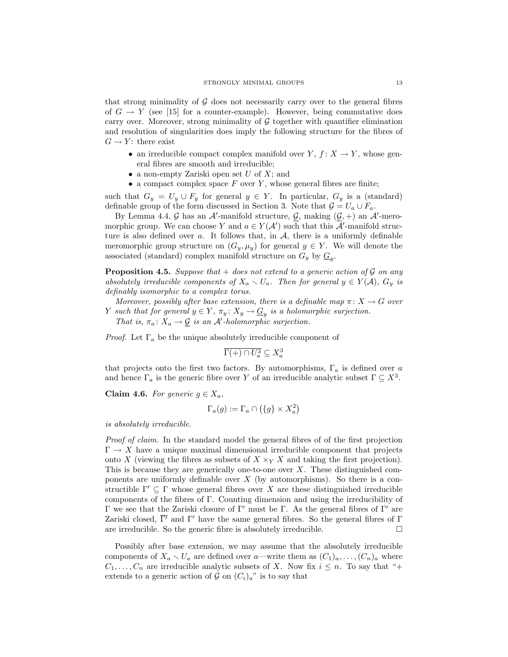that strong minimality of  $\mathcal G$  does not necessarily carry over to the general fibres of  $G \to Y$  (see [15] for a counter-example). However, being commutative does carry over. Moreover, strong minimality of  $G$  together with quantifier elimination and resolution of singularities does imply the following structure for the fibres of  $G \to Y$ : there exist

- an irreducible compact complex manifold over  $Y, f: X \to Y$ , whose general fibres are smooth and irreducible;
- a non-empty Zariski open set  $U$  of  $X$ ; and
- a compact complex space  $F$  over  $Y$ , whose general fibres are finite;

such that  $G_y = U_y \cup F_y$  for general  $y \in Y$ . In particular,  $G_y$  is a (standard) definable group of the form discussed in Section 3. Note that  $\mathcal{G} = U_a \cup F_a$ .

By Lemma 4.4, G has an A'-manifold structure, G, making  $(\mathcal{G}, +)$  an A'-meromorphic group. We can choose Y and  $a \in Y(\mathcal{A}')$  such that this  $\overline{\mathcal{A}}'$ -manifold structure is also defined over a. It follows that, in  $A$ , there is a uniformly definable meromorphic group structure on  $(G_y, \mu_y)$  for general  $y \in Y$ . We will denote the associated (standard) complex manifold structure on  $G_y$  by  $\underline{G}_y$ .

**Proposition 4.5.** Suppose that  $+$  does not extend to a generic action of  $\mathcal G$  on any absolutely irreducible components of  $X_a \setminus U_a$ . Then for general  $y \in Y(\mathcal{A})$ ,  $G_y$  is definably isomorphic to a complex torus.

Moreover, possibly after base extension, there is a definable map  $\pi: X \to G$  over Y such that for general  $y \in Y$ ,  $\pi_y \colon X_y \to \underline{G}_y$  is a holomorphic surjection. That is,  $\pi_a: X_a \to \mathcal{G}$  is an A'-holomorphic surjection.

*Proof.* Let  $\Gamma_a$  be the unique absolutely irreducible component of

$$
\overline{\Gamma(+) \cap U_a^3} \subseteq X_a^3
$$

that projects onto the first two factors. By automorphisms,  $\Gamma_a$  is defined over a and hence  $\Gamma_a$  is the generic fibre over Y of an irreducible analytic subset  $\Gamma \subseteq X^3$ .

Claim 4.6. For generic  $q \in X_a$ ,

$$
\Gamma_a(g) := \Gamma_a \cap \left(\{g\} \times X_a^2\right)
$$

is absolutely irreducible.

Proof of claim. In the standard model the general fibres of of the first projection  $\Gamma \to X$  have a unique maximal dimensional irreducible component that projects onto X (viewing the fibres as subsets of  $X \times_Y X$  and taking the first projection). This is because they are generically one-to-one over  $X$ . These distinguished components are uniformly definable over  $X$  (by automorphisms). So there is a constructible  $\Gamma' \subseteq \Gamma$  whose general fibres over X are these distinguished irreducible components of the fibres of Γ. Counting dimension and using the irreducibility of Γ we see that the Zariski closure of Γ' must be Γ. As the general fibres of Γ' are Zariski closed,  $\overline{\Gamma'}$  and  $\Gamma'$  have the same general fibres. So the general fibres of Γ are irreducible. So the generic fibre is absolutely irreducible.  $\Box$ 

Possibly after base extension, we may assume that the absolutely irreducible components of  $X_a \setminus U_a$  are defined over a—write them as  $(C_1)_a, \ldots, (C_n)_a$  where  $C_1, \ldots, C_n$  are irreducible analytic subsets of X. Now fix  $i \leq n$ . To say that "+ extends to a generic action of  $\mathcal G$  on  $(C_i)_a$ " is to say that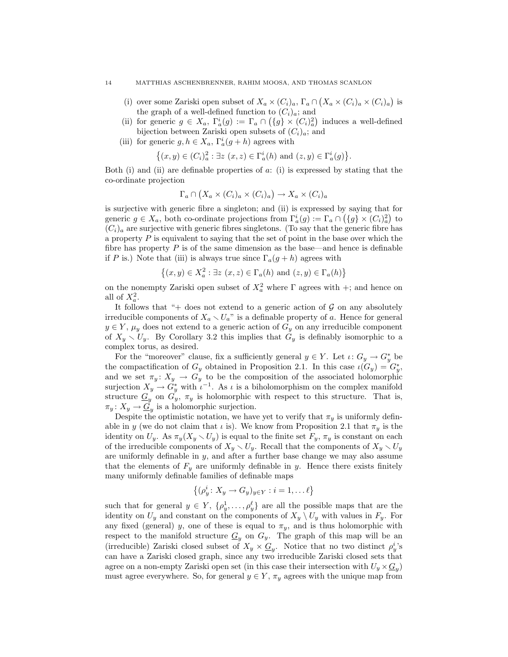### 14 MATTHIAS ASCHENBRENNER, RAHIM MOOSA, AND THOMAS SCANLON

- (i) over some Zariski open subset of  $X_a \times (C_i)_a$ ,  $\Gamma_a \cap (X_a \times (C_i)_a \times (C_i)_a)$  is the graph of a well-defined function to  $(C_i)_a$ ; and
- (ii) for generic  $g \in X_a$ ,  $\Gamma_a^i(g) := \Gamma_a \cap (\{g\} \times (C_i)_a^2)$  induces a well-defined bijection between Zariski open subsets of  $(C_i)_a$ ; and
- (iii) for generic  $g, h \in X_a$ ,  $\Gamma_a^i(g+h)$  agrees with

$$
\left\{(x,y)\in (C_i)_a^2: \exists z\ (x,z)\in \Gamma_a^i(h)\ \text{and}\ (z,y)\in \Gamma_a^i(g)\right\}.
$$

Both (i) and (ii) are definable properties of  $a$ : (i) is expressed by stating that the co-ordinate projection

$$
\Gamma_a \cap (X_a \times (C_i)_a \times (C_i)_a) \to X_a \times (C_i)_a
$$

is surjective with generic fibre a singleton; and (ii) is expressed by saying that for generic  $g \in X_a$ , both co-ordinate projections from  $\Gamma_a^i(g) := \Gamma_a \cap (\{g\} \times (C_i)_a^2)$  to  $(C_i)_a$  are surjective with generic fibres singletons. (To say that the generic fibre has a property  $P$  is equivalent to saying that the set of point in the base over which the fibre has property  $P$  is of the same dimension as the base—and hence is definable if P is.) Note that (iii) is always true since  $\Gamma_a(g+h)$  agrees with

$$
\{(x,y)\in X_a^2: \exists z\ (x,z)\in \Gamma_a(h)\text{ and }(z,y)\in \Gamma_a(h)\}
$$

on the nonempty Zariski open subset of  $X_a^2$  where  $\Gamma$  agrees with  $+$ ; and hence on all of  $X_a^2$ .

It follows that " $+$  does not extend to a generic action of  $\mathcal G$  on any absolutely irreducible components of  $X_a \setminus U_a$ " is a definable property of a. Hence for general  $y \in Y$ ,  $\mu_y$  does not extend to a generic action of  $G_y$  on any irreducible component of  $X_y \setminus U_y$ . By Corollary 3.2 this implies that  $G_y$  is definably isomorphic to a complex torus, as desired.

For the "moreover" clause, fix a sufficiently general  $y \in Y$ . Let  $\iota: G_y \to G_y^*$  be the compactification of  $G_y$  obtained in Proposition 2.1. In this case  $\iota(G_y) = G_y^*$ , and we set  $\pi_y \colon X_y \to G_y$  to be the composition of the associated holomorphic surjection  $X_y \to G_y^*$  with  $\iota^{-1}$ . As  $\iota$  is a biholomorphism on the complex manifold structure  $G_y$  on  $G_y$ ,  $\pi_y$  is holomorphic with respect to this structure. That is,  $\pi_y \colon X_y \to \underline{G}_y$  is a holomorphic surjection.

Despite the optimistic notation, we have yet to verify that  $\pi_y$  is uniformly definable in y (we do not claim that  $\iota$  is). We know from Proposition 2.1 that  $\pi_y$  is the identity on  $U_y$ . As  $\pi_y(X_y \setminus U_y)$  is equal to the finite set  $F_y$ ,  $\pi_y$  is constant on each of the irreducible components of  $X_y \setminus U_y$ . Recall that the components of  $X_y \setminus U_y$ are uniformly definable in  $y$ , and after a further base change we may also assume that the elements of  $F_y$  are uniformly definable in y. Hence there exists finitely many uniformly definable families of definable maps

$$
\left\{ (\rho_y^i \colon X_y \to G_y)_{y \in Y} : i = 1, \dots \ell \right\}
$$

such that for general  $y \in Y$ ,  $\{\rho_y^1, \ldots, \rho_y^{\ell}\}\$ are all the possible maps that are the identity on  $U_y$  and constant on the components of  $X_y \setminus U_y$  with values in  $F_y$ . For any fixed (general) y, one of these is equal to  $\pi_y$ , and is thus holomorphic with respect to the manifold structure  $\underline{G}_y$  on  $G_y$ . The graph of this map will be an (irreducible) Zariski closed subset of  $X_y \times \underline{G}_y$ . Notice that no two distinct  $\rho_y^i$ 's can have a Zariski closed graph, since any two irreducible Zariski closed sets that agree on a non-empty Zariski open set (in this case their intersection with  $U_y \times \underline{G}_y$ ) must agree everywhere. So, for general  $y \in Y$ ,  $\pi_y$  agrees with the unique map from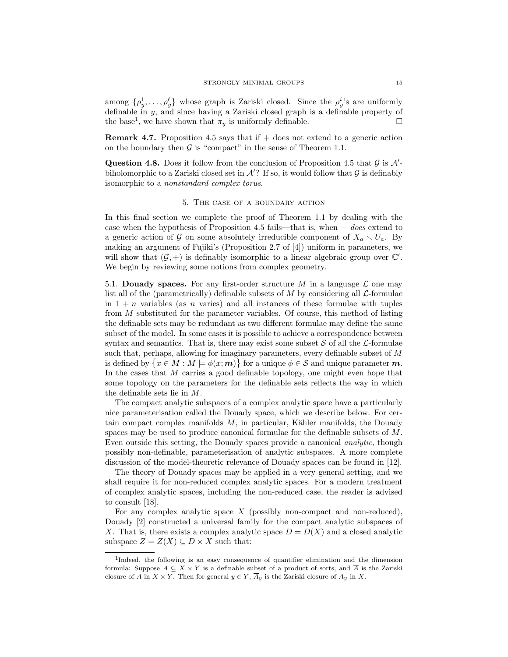among  $\{\rho_y^1, \ldots, \rho_y^\ell\}$  whose graph is Zariski closed. Since the  $\rho_y^i$ 's are uniformly definable in y, and since having a Zariski closed graph is a definable property of the base<sup>1</sup>, we have shown that  $\pi_y$  is uniformly definable.

**Remark 4.7.** Proposition 4.5 says that if  $+$  does not extend to a generic action on the boundary then  $\mathcal G$  is "compact" in the sense of Theorem 1.1.

Question 4.8. Does it follow from the conclusion of Proposition 4.5 that  $\mathcal G$  is  $\mathcal A'$ biholomorphic to a Zariski closed set in  $\mathcal{A}'$ ? If so, it would follow that  $\mathcal G$  is definably isomorphic to a nonstandard complex torus.

## 5. The case of a boundary action

In this final section we complete the proof of Theorem 1.1 by dealing with the case when the hypothesis of Proposition 4.5 fails—that is, when  $+$  does extend to a generic action of G on some absolutely irreducible component of  $X_a \setminus U_a$ . By making an argument of Fujiki's (Proposition 2.7 of [4]) uniform in parameters, we will show that  $(G, +)$  is definably isomorphic to a linear algebraic group over  $\mathbb{C}'$ . We begin by reviewing some notions from complex geometry.

5.1. Douady spaces. For any first-order structure M in a language  $\mathcal L$  one may list all of the (parametrically) definable subsets of M by considering all  $\mathcal{L}$ -formulae in  $1 + n$  variables (as n varies) and all instances of these formulae with tuples from M substituted for the parameter variables. Of course, this method of listing the definable sets may be redundant as two different formulae may define the same subset of the model. In some cases it is possible to achieve a correspondence between syntax and semantics. That is, there may exist some subset  $S$  of all the  $\mathcal{L}$ -formulae such that, perhaps, allowing for imaginary parameters, every definable subset of M is defined by  $\{x \in M : M \models \phi(x; m)\}\$ for a unique  $\phi \in \mathcal{S}$  and unique parameter m. In the cases that M carries a good definable topology, one might even hope that some topology on the parameters for the definable sets reflects the way in which the definable sets lie in M.

The compact analytic subspaces of a complex analytic space have a particularly nice parameterisation called the Douady space, which we describe below. For certain compact complex manifolds  $M$ , in particular, Kähler manifolds, the Douady spaces may be used to produce canonical formulae for the definable subsets of M. Even outside this setting, the Douady spaces provide a canonical analytic, though possibly non-definable, parameterisation of analytic subspaces. A more complete discussion of the model-theoretic relevance of Douady spaces can be found in [12].

The theory of Douady spaces may be applied in a very general setting, and we shall require it for non-reduced complex analytic spaces. For a modern treatment of complex analytic spaces, including the non-reduced case, the reader is advised to consult [18].

For any complex analytic space  $X$  (possibly non-compact and non-reduced), Douady [2] constructed a universal family for the compact analytic subspaces of X. That is, there exists a complex analytic space  $D = D(X)$  and a closed analytic subspace  $Z = Z(X) \subseteq D \times X$  such that:

<sup>&</sup>lt;sup>1</sup>Indeed, the following is an easy consequence of quantifier elimination and the dimension formula: Suppose  $A \subseteq X \times Y$  is a definable subset of a product of sorts, and  $\overline{A}$  is the Zariski closure of A in  $X \times Y$ . Then for general  $y \in Y$ ,  $\overline{A}_y$  is the Zariski closure of  $A_y$  in X.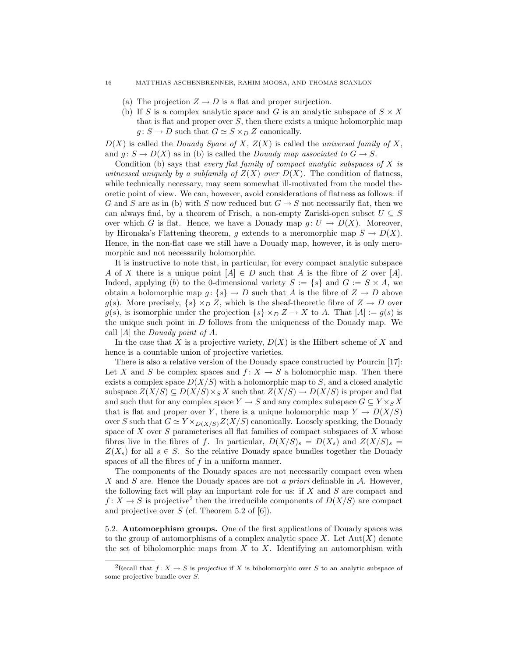#### 16 MATTHIAS ASCHENBRENNER, RAHIM MOOSA, AND THOMAS SCANLON

- (a) The projection  $Z \to D$  is a flat and proper surjection.
- (b) If S is a complex analytic space and G is an analytic subspace of  $S \times X$ that is flat and proper over  $S$ , then there exists a unique holomorphic map  $g: S \to D$  such that  $G \simeq S \times_D Z$  canonically.

 $D(X)$  is called the *Douady Space of X, Z(X)* is called the *universal family of X,* and  $g: S \to D(X)$  as in (b) is called the *Douady map associated to*  $G \to S$ .

Condition (b) says that every flat family of compact analytic subspaces of  $X$  is witnessed uniquely by a subfamily of  $Z(X)$  over  $D(X)$ . The condition of flatness, while technically necessary, may seem somewhat ill-motivated from the model theoretic point of view. We can, however, avoid considerations of flatness as follows: if G and S are as in (b) with S now reduced but  $G \to S$  not necessarily flat, then we can always find, by a theorem of Frisch, a non-empty Zariski-open subset  $U \subseteq S$ over which G is flat. Hence, we have a Douady map  $q: U \to D(X)$ . Moreover, by Hironaka's Flattening theorem, g extends to a meromorphic map  $S \to D(X)$ . Hence, in the non-flat case we still have a Douady map, however, it is only meromorphic and not necessarily holomorphic.

It is instructive to note that, in particular, for every compact analytic subspace A of X there is a unique point  $[A] \in D$  such that A is the fibre of Z over [A]. Indeed, applying (b) to the 0-dimensional variety  $S := \{s\}$  and  $G := S \times A$ , we obtain a holomorphic map  $q: \{s\} \to D$  such that A is the fibre of  $Z \to D$  above g(s). More precisely,  $\{s\} \times_D Z$ , which is the sheaf-theoretic fibre of  $Z \to D$  over  $g(s)$ , is isomorphic under the projection  $\{s\} \times_D Z \to X$  to A. That  $|A| := g(s)$  is the unique such point in  $D$  follows from the uniqueness of the Douady map. We call  $[A]$  the *Douady point of A*.

In the case that X is a projective variety,  $D(X)$  is the Hilbert scheme of X and hence is a countable union of projective varieties.

There is also a relative version of the Douady space constructed by Pourcin [17]: Let X and S be complex spaces and  $f: X \to S$  a holomorphic map. Then there exists a complex space  $D(X/S)$  with a holomorphic map to S, and a closed analytic subspace  $Z(X/S) \subseteq D(X/S) \times_S X$  such that  $Z(X/S) \to D(X/S)$  is proper and flat and such that for any complex space  $Y \to S$  and any complex subspace  $G \subseteq Y \times_S X$ that is flat and proper over Y, there is a unique holomorphic map  $Y \to D(X/S)$ over S such that  $G \simeq Y \times_{D(X/S)} Z(X/S)$  canonically. Loosely speaking, the Douady space of  $X$  over  $S$  parameterises all flat families of compact subspaces of  $X$  whose fibres live in the fibres of f. In particular,  $D(X/S)_s = D(X_s)$  and  $Z(X/S)_s =$  $Z(X_s)$  for all  $s \in S$ . So the relative Douady space bundles together the Douady spaces of all the fibres of  $f$  in a uniform manner.

The components of the Douady spaces are not necessarily compact even when X and S are. Hence the Douady spaces are not a *priori* definable in  $A$ . However, the following fact will play an important role for us: if  $X$  and  $S$  are compact and  $f: X \to S$  is projective<sup>2</sup> then the irreducible components of  $D(X/S)$  are compact and projective over  $S$  (cf. Theorem 5.2 of [6]).

5.2. Automorphism groups. One of the first applications of Douady spaces was to the group of automorphisms of a complex analytic space  $X$ . Let  $Aut(X)$  denote the set of biholomorphic maps from  $X$  to  $X$ . Identifying an automorphism with

<sup>&</sup>lt;sup>2</sup>Recall that  $f: X \to S$  is projective if X is biholomorphic over S to an analytic subspace of some projective bundle over S.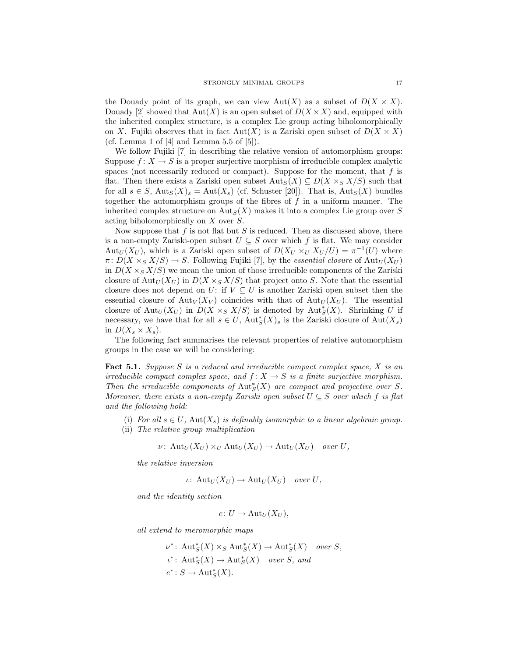the Douady point of its graph, we can view  $Aut(X)$  as a subset of  $D(X \times X)$ . Douady [2] showed that  $Aut(X)$  is an open subset of  $D(X \times X)$  and, equipped with the inherited complex structure, is a complex Lie group acting biholomorphically on X. Fujiki observes that in fact  $Aut(X)$  is a Zariski open subset of  $D(X \times X)$ (cf. Lemma 1 of  $[4]$  and Lemma 5.5 of  $[5]$ ).

We follow Fujiki [7] in describing the relative version of automorphism groups: Suppose  $f: X \to S$  is a proper surjective morphism of irreducible complex analytic spaces (not necessarily reduced or compact). Suppose for the moment, that  $f$  is flat. Then there exists a Zariski open subset  $\text{Aut}_S(X) \subseteq D(X \times_S X/S)$  such that for all  $s \in S$ ,  $\text{Aut}_S(X)_s = \text{Aut}(X_s)$  (cf. Schuster [20]). That is,  $\text{Aut}_S(X)$  bundles together the automorphism groups of the fibres of  $f$  in a uniform manner. The inherited complex structure on  $\text{Aut}_S(X)$  makes it into a complex Lie group over S acting biholomorphically on X over S.

Now suppose that  $f$  is not flat but  $S$  is reduced. Then as discussed above, there is a non-empty Zariski-open subset  $U \subseteq S$  over which f is flat. We may consider Aut<sub>U</sub>(X<sub>U</sub>), which is a Zariski open subset of  $D(X_U \times_U X_U / U) = \pi^{-1}(U)$  where  $\pi: D(X \times_S X/S) \to S$ . Following Fujiki [7], by the essential closure of Aut<sub>U</sub>(X<sub>U</sub>) in  $D(X \times_S X/S)$  we mean the union of those irreducible components of the Zariski closure of Aut<sub>U</sub>( $X_U$ ) in  $D(X \times_S X/S)$  that project onto S. Note that the essential closure does not depend on U: if  $V \subseteq U$  is another Zariski open subset then the essential closure of Aut<sub>V</sub>( $X_V$ ) coincides with that of Aut<sub>U</sub>( $X_U$ ). The essential closure of  ${\rm Aut}_U(X_U)$  in  $D(X \times_S X/S)$  is denoted by  ${\rm Aut}_S^*(X)$ . Shrinking U if necessary, we have that for all  $s \in U$ ,  $\text{Aut}_{S}^{*}(X)$ , is the Zariski closure of  $\text{Aut}(X_s)$ in  $D(X_s \times X_s)$ .

The following fact summarises the relevant properties of relative automorphism groups in the case we will be considering:

Fact 5.1. Suppose S is a reduced and irreducible compact complex space, X is an irreducible compact complex space, and  $f: X \to S$  is a finite surjective morphism. Then the irreducible components of  $\text{Aut}^*_{S}(X)$  are compact and projective over S. Moreover, there exists a non-empty Zariski open subset  $U \subseteq S$  over which f is flat and the following hold:

- (i) For all  $s \in U$ ,  $Aut(X_s)$  is definably isomorphic to a linear algebraic group.
- (ii) The relative group multiplication

$$
\nu\colon \operatorname{Aut}_U(X_U)\times_U\operatorname{Aut}_U(X_U)\to\operatorname{Aut}_U(X_U)\quad over\ U,
$$

the relative inversion

$$
\iota\colon \operatorname{Aut}_U(X_U)\to \operatorname{Aut}_U(X_U)\quad over\ U,
$$

and the identity section

$$
e\colon U\to \mathrm{Aut}_U(X_U),
$$

all extend to meromorphic maps

$$
\nu^* \colon \operatorname{Aut}_S^*(X) \times_S \operatorname{Aut}_S^*(X) \to \operatorname{Aut}_S^*(X) \quad over \ S,
$$
  

$$
\iota^* \colon \operatorname{Aut}_S^*(X) \to \operatorname{Aut}_S^*(X) \quad over \ S, \ and
$$
  

$$
e^* \colon S \to \operatorname{Aut}_S^*(X).
$$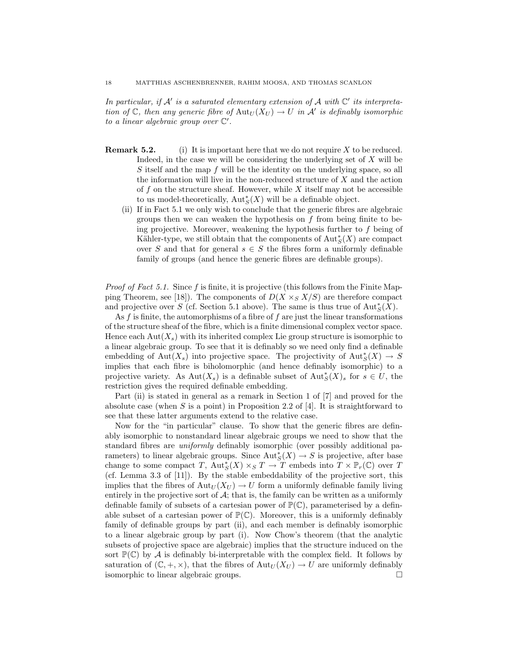In particular, if  $A'$  is a saturated elementary extension of  $A$  with  $C'$  its interpretation of  $\mathbb C$ , then any generic fibre of  $\mathrm{Aut}_U(X_U) \to U$  in  $\mathcal A'$  is definably isomorphic to a linear algebraic group over  $\mathbb{C}'$ .

- **Remark 5.2.** (i) It is important here that we do not require  $X$  to be reduced. Indeed, in the case we will be considering the underlying set of  $X$  will be S itself and the map f will be the identity on the underlying space, so all the information will live in the non-reduced structure of  $X$  and the action of f on the structure sheaf. However, while X itself may not be accessible to us model-theoretically,  $\mathrm{Aut}^*_S(X)$  will be a definable object.
	- (ii) If in Fact 5.1 we only wish to conclude that the generic fibres are algebraic groups then we can weaken the hypothesis on  $f$  from being finite to being projective. Moreover, weakening the hypothesis further to f being of Kähler-type, we still obtain that the components of  $\text{Aut}^*_S(X)$  are compact over S and that for general  $s \in S$  the fibres form a uniformly definable family of groups (and hence the generic fibres are definable groups).

*Proof of Fact 5.1.* Since  $f$  is finite, it is projective (this follows from the Finite Mapping Theorem, see [18]). The components of  $D(X \times_S X/S)$  are therefore compact and projective over S (cf. Section 5.1 above). The same is thus true of  $\text{Aut}^*_S(X)$ .

As  $f$  is finite, the automorphisms of a fibre of  $f$  are just the linear transformations of the structure sheaf of the fibre, which is a finite dimensional complex vector space. Hence each  $Aut(X<sub>s</sub>)$  with its inherited complex Lie group structure is isomorphic to a linear algebraic group. To see that it is definably so we need only find a definable embedding of  ${\rm Aut}(X_s)$  into projective space. The projectivity of  ${\rm Aut}^*_S(X) \to S$ implies that each fibre is biholomorphic (and hence definably isomorphic) to a projective variety. As  $Aut(X_s)$  is a definable subset of  $Aut^*_S(X)_s$  for  $s \in U$ , the restriction gives the required definable embedding.

Part (ii) is stated in general as a remark in Section 1 of [7] and proved for the absolute case (when S is a point) in Proposition 2.2 of [4]. It is straightforward to see that these latter arguments extend to the relative case.

Now for the "in particular" clause. To show that the generic fibres are definably isomorphic to nonstandard linear algebraic groups we need to show that the standard fibres are uniformly definably isomorphic (over possibly additional parameters) to linear algebraic groups. Since  $\text{Aut}_{S}^{*}(X) \to S$  is projective, after base change to some compact T,  $Aut_S^*(X) \times_S T \to T$  embeds into  $T \times \mathbb{P}_r(\mathbb{C})$  over T (cf. Lemma 3.3 of [11]). By the stable embeddability of the projective sort, this implies that the fibres of  $Aut_U(X_U) \to U$  form a uniformly definable family living entirely in the projective sort of  $A$ ; that is, the family can be written as a uniformly definable family of subsets of a cartesian power of  $\mathbb{P}(\mathbb{C})$ , parameterised by a definable subset of a cartesian power of  $\mathbb{P}(\mathbb{C})$ . Moreover, this is a uniformly definably family of definable groups by part (ii), and each member is definably isomorphic to a linear algebraic group by part (i). Now Chow's theorem (that the analytic subsets of projective space are algebraic) implies that the structure induced on the sort  $\mathbb{P}(\mathbb{C})$  by A is definably bi-interpretable with the complex field. It follows by saturation of  $(\mathbb{C}, +, \times)$ , that the fibres of  $\text{Aut}_U(X_U) \to U$  are uniformly definably isomorphic to linear algebraic groups.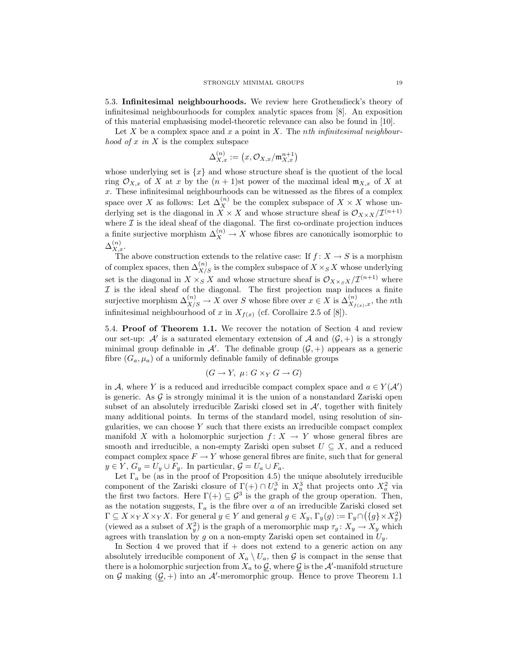5.3. Infinitesimal neighbourhoods. We review here Grothendieck's theory of infinitesimal neighbourhoods for complex analytic spaces from [8]. An exposition of this material emphasising model-theoretic relevance can also be found in [10].

Let  $X$  be a complex space and  $x$  a point in  $X$ . The nth infinitesimal neighbour*hood of x in X* is the complex subspace

$$
\Delta_{X,x}^{(n)}:=\left(x,\mathcal{O}_{X,x}/\mathfrak{m}_{X,x}^{n+1}\right)
$$

whose underlying set is  $\{x\}$  and whose structure sheaf is the quotient of the local ring  $\mathcal{O}_{X,x}$  of X at x by the  $(n+1)$ st power of the maximal ideal  $\mathfrak{m}_{X,x}$  of X at x. These infinitesimal neighbourhoods can be witnessed as the fibres of a complex space over X as follows: Let  $\Delta_X^{(n)}$  be the complex subspace of  $X \times X$  whose underlying set is the diagonal in  $X \times X$  and whose structure sheaf is  $\mathcal{O}_{X \times X}/\mathcal{I}^{(n+1)}$ where  $\mathcal I$  is the ideal sheaf of the diagonal. The first co-ordinate projection induces a finite surjective morphism  $\Delta_X^{(n)} \to X$  whose fibres are canonically isomorphic to  $\Delta_{X,x}^{(n)}$ .

The above construction extends to the relative case: If  $f: X \to S$  is a morphism of complex spaces, then  $\Delta_{X/S}^{(n)}$  is the complex subspace of  $X \times_S X$  whose underlying set is the diagonal in  $X \times_S X$  and whose structure sheaf is  $\mathcal{O}_{X \times_S X}/\mathcal{I}^{(n+1)}$  where  $I$  is the ideal sheaf of the diagonal. The first projection map induces a finite surjective morphism  $\Delta_{X/S}^{(n)} \to X$  over S whose fibre over  $x \in X$  is  $\Delta_{X_{f(x)},x}^{(n)}$ , the *nth* infinitesimal neighbourhood of x in  $X_{f(x)}$  (cf. Corollaire 2.5 of [8]).

5.4. Proof of Theorem 1.1. We recover the notation of Section 4 and review our set-up:  $\mathcal{A}'$  is a saturated elementary extension of  $\mathcal{A}$  and  $(\mathcal{G}, +)$  is a strongly minimal group definable in  $\mathcal{A}'$ . The definable group  $(\mathcal{G}, +)$  appears as a generic fibre  $(G_a, \mu_a)$  of a uniformly definable family of definable groups

$$
(G \to Y, \ \mu \colon G \times_Y G \to G)
$$

in A, where Y is a reduced and irreducible compact complex space and  $a \in Y(\mathcal{A}')$ is generic. As  $\mathcal G$  is strongly minimal it is the union of a nonstandard Zariski open subset of an absolutely irreducible Zariski closed set in  $A'$ , together with finitely many additional points. In terms of the standard model, using resolution of singularities, we can choose Y such that there exists an irreducible compact complex manifold X with a holomorphic surjection  $f: X \to Y$  whose general fibres are smooth and irreducible, a non-empty Zariski open subset  $U \subseteq X$ , and a reduced compact complex space  $F \to Y$  whose general fibres are finite, such that for general  $y \in Y$ ,  $G_y = U_y \cup F_y$ . In particular,  $\mathcal{G} = U_a \cup F_a$ .

Let  $\Gamma_a$  be (as in the proof of Proposition 4.5) the unique absolutely irreducible component of the Zariski closure of  $\Gamma(+) \cap U_a^3$  in  $X_a^3$  that projects onto  $X_a^2$  via the first two factors. Here  $\Gamma(+) \subseteq \mathcal{G}^3$  is the graph of the group operation. Then, as the notation suggests,  $\Gamma_a$  is the fibre over a of an irreducible Zariski closed set  $\Gamma \subseteq X \times_Y X \times_Y X$ . For general  $y \in Y$  and general  $g \in X_y$ ,  $\Gamma_y(g) := \Gamma_y \cap (\{g\} \times X_y^2)$ (viewed as a subset of  $X_y^2$ ) is the graph of a meromorphic map  $\tau_g \colon X_y \to X_y$  which agrees with translation by g on a non-empty Zariski open set contained in  $U_y$ .

In Section 4 we proved that if  $+$  does not extend to a generic action on any absolutely irreducible component of  $X_a \setminus U_a$ , then G is compact in the sense that there is a holomorphic surjection from  $\overline{X}_a$  to  $\underline{\mathcal{G}}$ , where  $\underline{\mathcal{G}}$  is the  $\mathcal{A}'$ -manifold structure on G making  $(\mathcal{G}, +)$  into an A'-meromorphic group. Hence to prove Theorem 1.1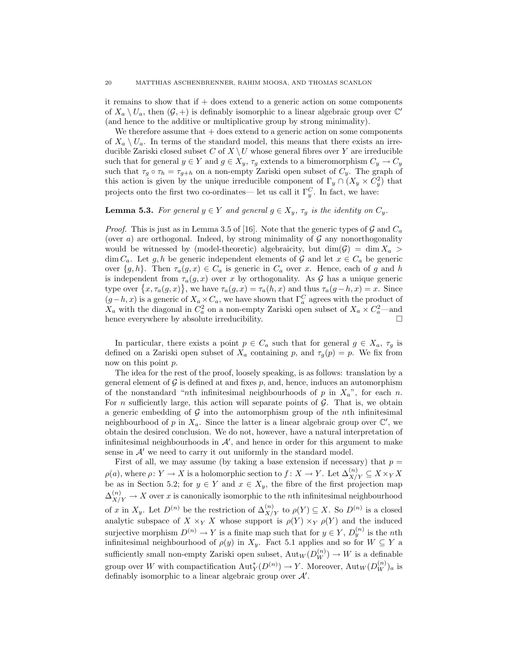it remains to show that if  $+$  does extend to a generic action on some components of  $X_a \setminus U_a$ , then  $(\mathcal{G}, +)$  is definably isomorphic to a linear algebraic group over  $\mathbb{C}'$ (and hence to the additive or multiplicative group by strong minimality).

We therefore assume that  $+$  does extend to a generic action on some components of  $X_a \setminus U_a$ . In terms of the standard model, this means that there exists an irreducible Zariski closed subset C of  $X \setminus U$  whose general fibres over Y are irreducible such that for general  $y \in Y$  and  $g \in X_y$ ,  $\tau_g$  extends to a bimeromorphism  $C_y \to C_y$ such that  $\tau_g \circ \tau_h = \tau_{g+h}$  on a non-empty Zariski open subset of  $C_y$ . The graph of this action is given by the unique irreducible component of  $\Gamma_y \cap (X_y \times C_y^2)$  that projects onto the first two co-ordinates— let us call it  $\Gamma_y^C$ . In fact, we have:

## **Lemma 5.3.** For general  $y \in Y$  and general  $g \in X_y$ ,  $\tau_g$  is the identity on  $C_y$ .

*Proof.* This is just as in Lemma 3.5 of [16]. Note that the generic types of  $\mathcal G$  and  $C_a$ (over a) are orthogonal. Indeed, by strong minimality of  $\mathcal G$  any nonorthogonality would be witnessed by (model-theoretic) algebraicity, but  $\dim(G) = \dim X_a$  $\dim C_a$ . Let g, h be generic independent elements of G and let  $x \in C_a$  be generic over  $\{g, h\}$ . Then  $\tau_a(g, x) \in C_a$  is generic in  $C_a$  over x. Hence, each of g and h is independent from  $\tau_a(g, x)$  over x by orthogonality. As G has a unique generic type over  $\{x, \tau_a(g, x)\}\,$  we have  $\tau_a(g, x) = \tau_a(h, x)$  and thus  $\tau_a(g - h, x) = x$ . Since  $(g-h, x)$  is a generic of  $X_a \times C_a$ , we have shown that  $\Gamma_a^C$  agrees with the product of  $X_a$  with the diagonal in  $C_a^2$  on a non-empty Zariski open subset of  $X_a \times C_a^2$ —and hence everywhere by absolute irreducibility.  $\hfill \square$ 

In particular, there exists a point  $p \in C_a$  such that for general  $g \in X_a$ ,  $\tau_g$  is defined on a Zariski open subset of  $X_a$  containing p, and  $\tau_g(p) = p$ . We fix from now on this point p.

The idea for the rest of the proof, loosely speaking, is as follows: translation by a general element of  $\mathcal G$  is defined at and fixes  $p$ , and, hence, induces an automorphism of the nonstandard "nth infinitesimal neighbourhoods of p in  $X_a$ ", for each n. For n sufficiently large, this action will separate points of  $\mathcal G$ . That is, we obtain a generic embedding of  $G$  into the automorphism group of the *n*th infinitesimal neighbourhood of p in  $X_a$ . Since the latter is a linear algebraic group over  $\mathbb{C}'$ , we obtain the desired conclusion. We do not, however, have a natural interpretation of infinitesimal neighbourhoods in  $\mathcal{A}'$ , and hence in order for this argument to make sense in  $A'$  we need to carry it out uniformly in the standard model.

First of all, we may assume (by taking a base extension if necessary) that  $p =$  $\rho(a)$ , where  $\rho: Y \to X$  is a holomorphic section to  $f: X \to Y$ . Let  $\Delta_{X/Y}^{(n)} \subseteq X \times_Y X$ be as in Section 5.2; for  $y \in Y$  and  $x \in X_y$ , the fibre of the first projection map  $\Delta_{X/Y}^{(n)} \to X$  over x is canonically isomorphic to the nth infinitesimal neighbourhood of x in  $X_y$ . Let  $D^{(n)}$  be the restriction of  $\Delta_{X/Y}^{(n)}$  to  $\rho(Y) \subseteq X$ . So  $D^{(n)}$  is a closed analytic subspace of  $X \times_Y X$  whose support is  $\rho(Y) \times_Y \rho(Y)$  and the induced surjective morphism  $D^{(n)} \to Y$  is a finite map such that for  $y \in Y$ ,  $D_y^{(n)}$  is the *n*th infinitesimal neighbourhood of  $\rho(y)$  in  $X_y$ . Fact 5.1 applies and so for  $W \subseteq Y$  a sufficiently small non-empty Zariski open subset,  $\mathrm{Aut}_W(D_W^{(n)}) \to W$  is a definable group over W with compactification  $\text{Aut}_Y^*(D^{(n)}) \to Y$ . Moreover,  $\text{Aut}_W(D_W^{(n)})_a$  is definably isomorphic to a linear algebraic group over  $\mathcal{A}'$ .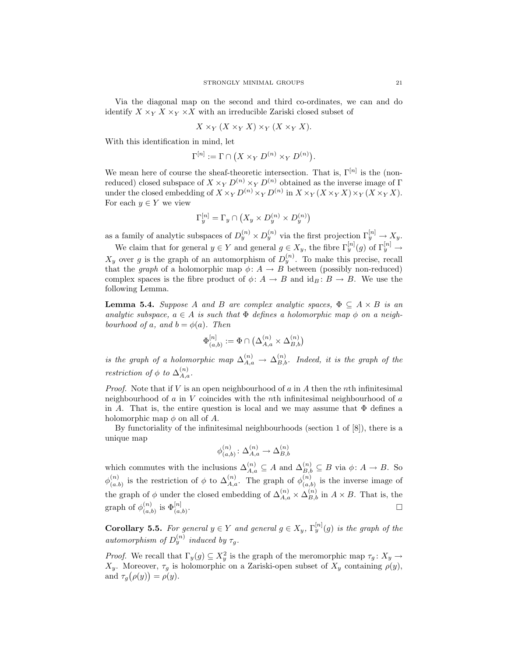Via the diagonal map on the second and third co-ordinates, we can and do identify  $X \times_Y X \times_Y X$  with an irreducible Zariski closed subset of

$$
X \times_Y (X \times_Y X) \times_Y (X \times_Y X).
$$

With this identification in mind, let

$$
\Gamma^{[n]} := \Gamma \cap (X \times_Y D^{(n)} \times_Y D^{(n)}).
$$

We mean here of course the sheaf-theoretic intersection. That is,  $\Gamma^{[n]}$  is the (nonreduced) closed subspace of  $X \times_Y D^{(n)} \times_Y D^{(n)}$  obtained as the inverse image of  $\Gamma$ under the closed embedding of  $X \times_Y D^{(n)} \times_Y D^{(n)}$  in  $X \times_Y (X \times_Y X) \times_Y (X \times_Y X)$ . For each  $y \in Y$  we view

$$
\Gamma_y^{[n]} = \Gamma_y \cap \left( X_y \times D_y^{(n)} \times D_y^{(n)} \right)
$$

as a family of analytic subspaces of  $D_y^{(n)} \times D_y^{(n)}$  via the first projection  $\Gamma_y^{[n]} \to X_y$ .

We claim that for general  $y \in Y$  and general  $g \in X_y$ , the fibre  $\Gamma_y^{[n]}(g)$  of  $\Gamma_y^{[n]} \to$  $X_y$  over g is the graph of an automorphism of  $D_y^{(n)}$ . To make this precise, recall that the graph of a holomorphic map  $\phi: A \to B$  between (possibly non-reduced) complex spaces is the fibre product of  $\phi: A \to B$  and  $\mathrm{id}_B: B \to B$ . We use the following Lemma.

**Lemma 5.4.** Suppose A and B are complex analytic spaces,  $\Phi \subseteq A \times B$  is an analytic subspace,  $a \in A$  is such that  $\Phi$  defines a holomorphic map  $\phi$  on a neighbourhood of a, and  $b = \phi(a)$ . Then

$$
\Phi^{[n]}_{(a,b)}:=\Phi\cap\big(\Delta^{(n)}_{A,a}\times\Delta^{(n)}_{B,b}\big)
$$

is the graph of a holomorphic map  $\Delta_{A,a}^{(n)} \to \Delta_{B,b}^{(n)}$ . Indeed, it is the graph of the restriction of  $\phi$  to  $\Delta_{A,a}^{(n)}$ .

*Proof.* Note that if V is an open neighbourhood of a in A then the nth infinitesimal neighbourhood of  $\alpha$  in V coincides with the nth infinitesimal neighbourhood of  $\alpha$ in A. That is, the entire question is local and we may assume that  $\Phi$  defines a holomorphic map  $\phi$  on all of A.

By functoriality of the infinitesimal neighbourhoods (section 1 of [8]), there is a unique map

$$
\phi^{(n)}_{(a,b)}\colon \Delta_{A,a}^{(n)}\to \Delta_{B,b}^{(n)}
$$

which commutes with the inclusions  $\Delta_{A,a}^{(n)} \subseteq A$  and  $\Delta_{B,b}^{(n)} \subseteq B$  via  $\phi: A \to B$ . So  $\phi_{(a)}^{(n)}$  $\binom{n}{(a,b)}$  is the restriction of  $\phi$  to  $\Delta_{A,a}^{(n)}$ . The graph of  $\phi_{(a,b)}^{(n)}$  $\binom{n}{(a,b)}$  is the inverse image of the graph of  $\phi$  under the closed embedding of  $\Delta_{A,a}^{(n)} \times \Delta_{B,b}^{(n)}$  in  $A \times B$ . That is, the graph of  $\phi_{(n)}^{(n)}$  $\binom{n}{(a,b)}$  is  $\Phi^{[n]}_{(a,b)}$ . В последните поставите на селото на селото на селото на селото на селото на селото на селото на селото на се<br>Селото на селото на селото на селото на селото на селото на селото на селото на селото на селото на селото на

**Corollary 5.5.** For general  $y \in Y$  and general  $g \in X_y$ ,  $\Gamma_y^{[n]}(g)$  is the graph of the automorphism of  $D_y^{(n)}$  induced by  $\tau_g$ .

*Proof.* We recall that  $\Gamma_y(g) \subseteq X_y^2$  is the graph of the meromorphic map  $\tau_g \colon X_y \to Y$  $X_y$ . Moreover,  $\tau_g$  is holomorphic on a Zariski-open subset of  $X_y$  containing  $\rho(y)$ , and  $\tau_g(\rho(y)) = \rho(y)$ .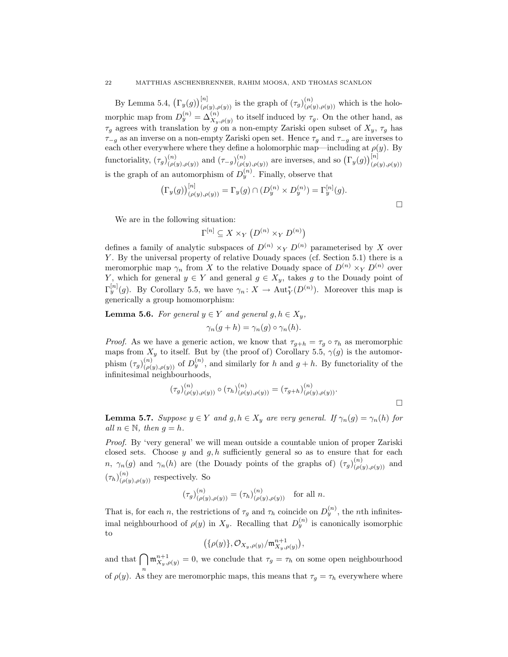By Lemma 5.4,  $(\Gamma_y(g))_{(\rho(y),\rho(y))}^{[n]}$  is the graph of  $(\tau_g)_{(\rho(y),\rho(y))}^{(n)}$  which is the holomorphic map from  $D_y^{(n)} = \Delta_{X_y, \rho(y)}^{(n)}$  to itself induced by  $\tau_g$ . On the other hand, as  $\tau_q$  agrees with translation by g on a non-empty Zariski open subset of  $X_y$ ,  $\tau_q$  has  $\tau_{-g}$  as an inverse on a non-empty Zariski open set. Hence  $\tau_{g}$  and  $\tau_{-g}$  are inverses to each other everywhere where they define a holomorphic map—including at  $\rho(y)$ . By functoriality,  $(\tau_g)_{(\rho(y),\rho(y))}^{(n)}$  and  $(\tau_{-g})_{(\rho(y),\rho(y))}^{(n)}$  are inverses, and so  $(\Gamma_y(g))_{(\rho(y),\rho(y))}^{[n]}$ is the graph of an automorphism of  $D_y^{(n)}$ . Finally, observe that

$$
\left(\Gamma_y(g)\right)_{(\rho(y),\rho(y))}^{[n]} = \Gamma_y(g) \cap (D_y^{(n)} \times D_y^{(n)}) = \Gamma_y^{[n]}(g).
$$

 $\Box$ 

We are in the following situation:

$$
\Gamma^{[n]} \subseteq X \times_Y (D^{(n)} \times_Y D^{(n)})
$$

defines a family of analytic subspaces of  $D^{(n)} \times_Y D^{(n)}$  parameterised by X over Y. By the universal property of relative Douady spaces (cf. Section 5.1) there is a meromorphic map  $\gamma_n$  from X to the relative Douady space of  $D^{(n)} \times_Y D^{(n)}$  over Y, which for general  $y \in Y$  and general  $g \in X_y$ , takes g to the Douady point of  $\Gamma_y^{[n]}(g)$ . By Corollary 5.5, we have  $\gamma_n: X \to \text{Aut}_Y^*(D^{(n)})$ . Moreover this map is generically a group homomorphism:

**Lemma 5.6.** For general  $y \in Y$  and general  $g, h \in X_y$ ,

$$
\gamma_n(g+h) = \gamma_n(g) \circ \gamma_n(h).
$$

*Proof.* As we have a generic action, we know that  $\tau_{g+h} = \tau_g \circ \tau_h$  as meromorphic maps from  $X_y$  to itself. But by (the proof of) Corollary 5.5,  $\gamma(g)$  is the automorphism  $(\tau_g)_{(\rho(y),\rho(y))}^{(n)}$  of  $D_y^{(n)}$ , and similarly for h and  $g+h$ . By functoriality of the infinitesimal neighbourhoods,

$$
(\tau_g)_{(\rho(y),\rho(y))}^{(n)} \circ (\tau_h)_{(\rho(y),\rho(y))}^{(n)} = (\tau_{g+h})_{(\rho(y),\rho(y))}^{(n)}.
$$

**Lemma 5.7.** Suppose  $y \in Y$  and  $g, h \in X_y$  are very general. If  $\gamma_n(g) = \gamma_n(h)$  for all  $n \in \mathbb{N}$ , then  $g = h$ .

Proof. By 'very general' we will mean outside a countable union of proper Zariski closed sets. Choose  $y$  and  $g, h$  sufficiently general so as to ensure that for each n,  $\gamma_n(g)$  and  $\gamma_n(h)$  are (the Douady points of the graphs of)  $(\tau_g)_{(\rho(g),\rho(g))}^{(n)}$  and  $(\tau_h)_{(\rho(y),\rho(y))}^{(n)}$  respectively. So

$$
(\tau_g)_{(\rho(y),\rho(y))}^{(n)} = (\tau_h)_{(\rho(y),\rho(y))}^{(n)} \text{ for all } n.
$$

That is, for each n, the restrictions of  $\tau_g$  and  $\tau_h$  coincide on  $D_y^{(n)}$ , the nth infinitesimal neighbourhood of  $\rho(y)$  in  $X_y$ . Recalling that  $D_y^{(n)}$  is canonically isomorphic to

$$
(\{\rho(y)\},\mathcal{O}_{X_y,\rho(y)}/\mathfrak{m}_{X_y,\rho(y)}^{n+1}),
$$

and that  $\bigcap \mathfrak{m}_{X_y,\rho(y)}^{n+1} = 0$ , we conclude that  $\tau_g = \tau_h$  on some open neighbourhood of  $\rho(y)$ . As they are meromorphic maps, this means that  $\tau_g = \tau_h$  everywhere where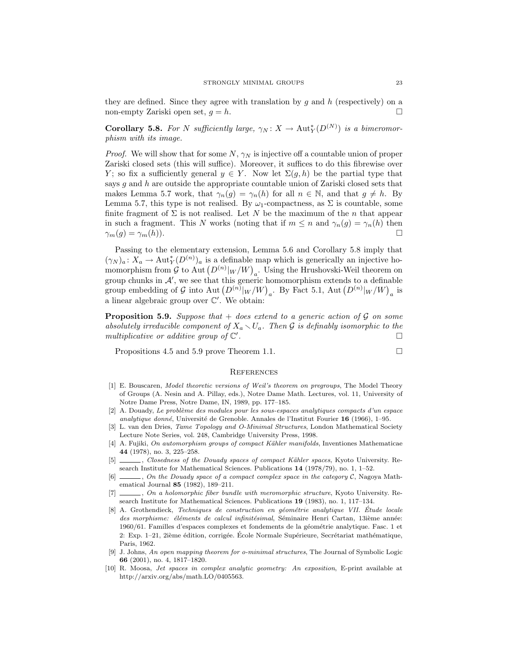they are defined. Since they agree with translation by q and h (respectively) on a non-empty Zariski open set,  $q = h$ .

**Corollary 5.8.** For N sufficiently large,  $\gamma_N: X \to \text{Aut}_Y^*(D^{(N)})$  is a bimeromorphism with its image.

*Proof.* We will show that for some  $N$ ,  $\gamma_N$  is injective off a countable union of proper Zariski closed sets (this will suffice). Moreover, it suffices to do this fibrewise over Y; so fix a sufficiently general  $y \in Y$ . Now let  $\Sigma(g, h)$  be the partial type that says g and h are outside the appropriate countable union of Zariski closed sets that makes Lemma 5.7 work, that  $\gamma_n(g) = \gamma_n(h)$  for all  $n \in \mathbb{N}$ , and that  $g \neq h$ . By Lemma 5.7, this type is not realised. By  $\omega_1$ -compactness, as  $\Sigma$  is countable, some finite fragment of  $\Sigma$  is not realised. Let N be the maximum of the n that appear in such a fragment. This N works (noting that if  $m \leq n$  and  $\gamma_n(g) = \gamma_n(h)$  then  $\gamma_m(g) = \gamma_m(h)$ .

Passing to the elementary extension, Lemma 5.6 and Corollary 5.8 imply that  $(\gamma_N)_a \colon X_a \to \text{Aut}_Y^*(D^{(n)})_a$  is a definable map which is generically an injective homomorphism from  $\mathcal G$  to Aut  $\left(D^{(n)}|_W/W\right)_a$ . Using the Hrushovski-Weil theorem on group chunks in  $\mathcal{A}'$ , we see that this generic homomorphism extends to a definable group embedding of G into Aut  $(D^{(n)}|_{W}/W)_{a}$ . By Fact 5.1, Aut  $(D^{(n)}|_{W}/W)_{a}$  is a linear algebraic group over  $\mathbb{C}'$ . We obtain:

**Proposition 5.9.** Suppose that  $+$  does extend to a generic action of G on some absolutely irreducible component of  $X_a \setminus U_a$ . Then G is definably isomorphic to the multiplicative or additive group of  $\mathbb{C}'$ . В последните последните последните последните последните последните последните последните последните последн<br>В последните последните последните последните последните последните последните последните последните последнит

Propositions 4.5 and 5.9 prove Theorem 1.1.

#### **REFERENCES**

- [1] E. Bouscaren, Model theoretic versions of Weil's theorem on pregroups, The Model Theory of Groups (A. Nesin and A. Pillay, eds.), Notre Dame Math. Lectures, vol. 11, University of Notre Dame Press, Notre Dame, IN, 1989, pp. 177–185.
- [2] A. Douady, Le problème des modules pour les sous-espaces analytiques compacts d'un espace analytique donné, Université de Grenoble. Annales de l'Institut Fourier 16 (1966), 1–95.
- [3] L. van den Dries, Tame Topology and O-Minimal Structures, London Mathematical Society Lecture Note Series, vol. 248, Cambridge University Press, 1998.
- [4] A. Fujiki, On automorphism groups of compact Kähler manifolds, Inventiones Mathematicae 44 (1978), no. 3, 225–258.
- [5] , Closedness of the Douady spaces of compact Kähler spaces, Kyoto University. Research Institute for Mathematical Sciences. Publications 14 (1978/79), no. 1, 1–52.
- $\Box$ , On the Douady space of a compact complex space in the category C, Nagoya Mathematical Journal 85 (1982), 189–211.
- [7]  $\ldots$ , On a holomorphic fiber bundle with meromorphic structure, Kyoto University. Research Institute for Mathematical Sciences. Publications 19 (1983), no. 1, 117–134.
- [8] A. Grothendieck, Techniques de construction en géométrie analytique VII. Étude locale des morphisme: éléments de calcul infinitésimal, Séminaire Henri Cartan, 13ième année: 1960/61. Familles d'espaces complexes et fondements de la géométrie analytique. Fasc. 1 et 2: Exp.  $1-21$ ,  $2i\text{ème édition, corrigée. École Normale Supérieure, Secrétariat mathématique,$ Paris, 1962.
- [9] J. Johns, An open mapping theorem for o-minimal structures, The Journal of Symbolic Logic 66 (2001), no. 4, 1817–1820.
- [10] R. Moosa, Jet spaces in complex analytic geometry: An exposition, E-print available at http://arxiv.org/abs/math.LO/0405563.